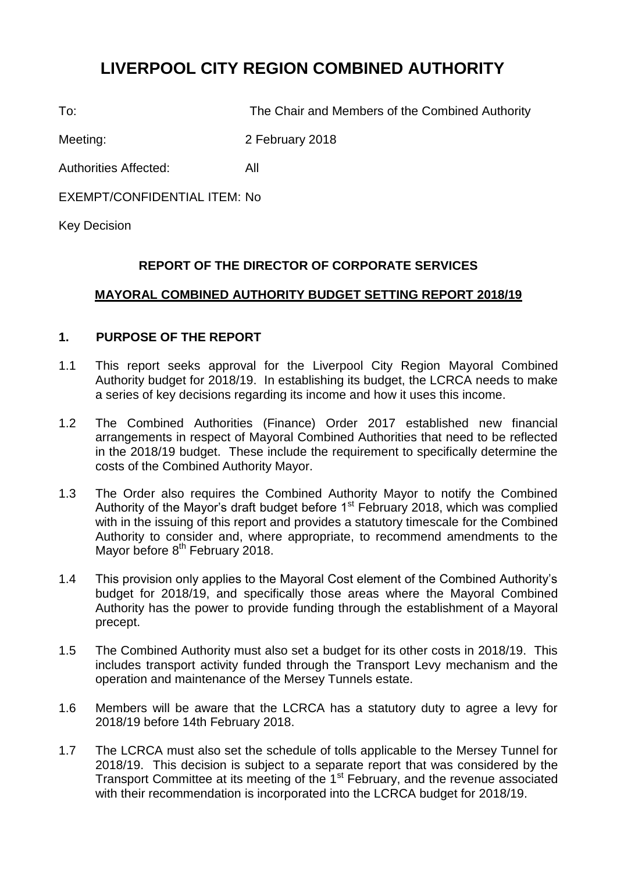# **LIVERPOOL CITY REGION COMBINED AUTHORITY**

To: The Chair and Members of the Combined Authority

Meeting: 2 February 2018

Authorities Affected: All

EXEMPT/CONFIDENTIAL ITEM: No

Key Decision

# **REPORT OF THE DIRECTOR OF CORPORATE SERVICES**

# **MAYORAL COMBINED AUTHORITY BUDGET SETTING REPORT 2018/19**

# **1. PURPOSE OF THE REPORT**

- 1.1 This report seeks approval for the Liverpool City Region Mayoral Combined Authority budget for 2018/19. In establishing its budget, the LCRCA needs to make a series of key decisions regarding its income and how it uses this income.
- 1.2 The Combined Authorities (Finance) Order 2017 established new financial arrangements in respect of Mayoral Combined Authorities that need to be reflected in the 2018/19 budget. These include the requirement to specifically determine the costs of the Combined Authority Mayor.
- 1.3 The Order also requires the Combined Authority Mayor to notify the Combined Authority of the Mayor's draft budget before  $1<sup>st</sup>$  February 2018, which was complied with in the issuing of this report and provides a statutory timescale for the Combined Authority to consider and, where appropriate, to recommend amendments to the Mayor before 8<sup>th</sup> February 2018.
- 1.4 This provision only applies to the Mayoral Cost element of the Combined Authority's budget for 2018/19, and specifically those areas where the Mayoral Combined Authority has the power to provide funding through the establishment of a Mayoral precept.
- 1.5 The Combined Authority must also set a budget for its other costs in 2018/19. This includes transport activity funded through the Transport Levy mechanism and the operation and maintenance of the Mersey Tunnels estate.
- 1.6 Members will be aware that the LCRCA has a statutory duty to agree a levy for 2018/19 before 14th February 2018.
- 1.7 The LCRCA must also set the schedule of tolls applicable to the Mersey Tunnel for 2018/19. This decision is subject to a separate report that was considered by the Transport Committee at its meeting of the 1<sup>st</sup> February, and the revenue associated with their recommendation is incorporated into the LCRCA budget for 2018/19.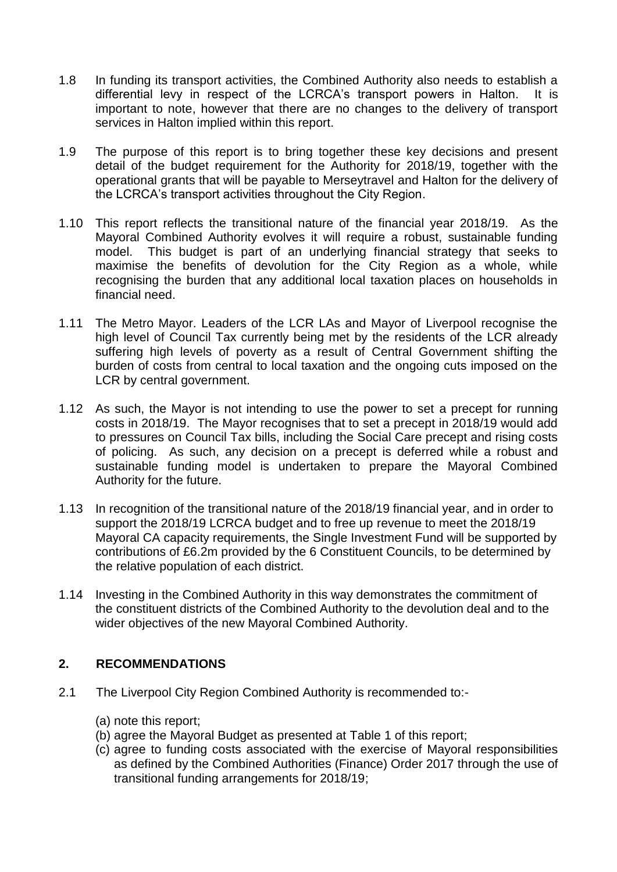- 1.8 In funding its transport activities, the Combined Authority also needs to establish a differential levy in respect of the LCRCA's transport powers in Halton. It is important to note, however that there are no changes to the delivery of transport services in Halton implied within this report.
- 1.9 The purpose of this report is to bring together these key decisions and present detail of the budget requirement for the Authority for 2018/19, together with the operational grants that will be payable to Merseytravel and Halton for the delivery of the LCRCA's transport activities throughout the City Region.
- 1.10 This report reflects the transitional nature of the financial year 2018/19. As the Mayoral Combined Authority evolves it will require a robust, sustainable funding model. This budget is part of an underlying financial strategy that seeks to maximise the benefits of devolution for the City Region as a whole, while recognising the burden that any additional local taxation places on households in financial need.
- 1.11 The Metro Mayor. Leaders of the LCR LAs and Mayor of Liverpool recognise the high level of Council Tax currently being met by the residents of the LCR already suffering high levels of poverty as a result of Central Government shifting the burden of costs from central to local taxation and the ongoing cuts imposed on the LCR by central government.
- 1.12 As such, the Mayor is not intending to use the power to set a precept for running costs in 2018/19. The Mayor recognises that to set a precept in 2018/19 would add to pressures on Council Tax bills, including the Social Care precept and rising costs of policing. As such, any decision on a precept is deferred while a robust and sustainable funding model is undertaken to prepare the Mayoral Combined Authority for the future.
- 1.13 In recognition of the transitional nature of the 2018/19 financial year, and in order to support the 2018/19 LCRCA budget and to free up revenue to meet the 2018/19 Mayoral CA capacity requirements, the Single Investment Fund will be supported by contributions of £6.2m provided by the 6 Constituent Councils, to be determined by the relative population of each district.
- 1.14 Investing in the Combined Authority in this way demonstrates the commitment of the constituent districts of the Combined Authority to the devolution deal and to the wider objectives of the new Mayoral Combined Authority.

# **2. RECOMMENDATIONS**

- 2.1 The Liverpool City Region Combined Authority is recommended to:-
	- (a) note this report;
	- (b) agree the Mayoral Budget as presented at Table 1 of this report;
	- (c) agree to funding costs associated with the exercise of Mayoral responsibilities as defined by the Combined Authorities (Finance) Order 2017 through the use of transitional funding arrangements for 2018/19;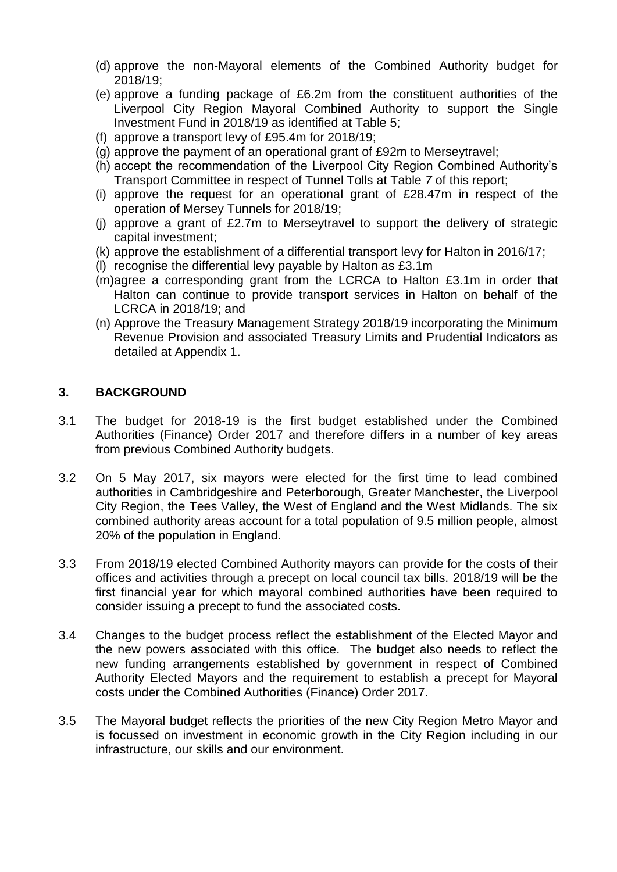- (d) approve the non-Mayoral elements of the Combined Authority budget for 2018/19;
- (e) approve a funding package of £6.2m from the constituent authorities of the Liverpool City Region Mayoral Combined Authority to support the Single Investment Fund in 2018/19 as identified at Table 5;
- (f) approve a transport levy of £95.4m for 2018/19;
- (g) approve the payment of an operational grant of £92m to Merseytravel;
- (h) accept the recommendation of the Liverpool City Region Combined Authority's Transport Committee in respect of Tunnel Tolls at Table *7* of this report;
- (i) approve the request for an operational grant of £28.47m in respect of the operation of Mersey Tunnels for 2018/19;
- (j) approve a grant of £2.7m to Merseytravel to support the delivery of strategic capital investment;
- (k) approve the establishment of a differential transport levy for Halton in 2016/17;
- (l) recognise the differential levy payable by Halton as £3.1m
- (m)agree a corresponding grant from the LCRCA to Halton £3.1m in order that Halton can continue to provide transport services in Halton on behalf of the LCRCA in 2018/19; and
- (n) Approve the Treasury Management Strategy 2018/19 incorporating the Minimum Revenue Provision and associated Treasury Limits and Prudential Indicators as detailed at Appendix 1.

# **3. BACKGROUND**

- 3.1 The budget for 2018-19 is the first budget established under the Combined Authorities (Finance) Order 2017 and therefore differs in a number of key areas from previous Combined Authority budgets.
- 3.2 On 5 May 2017, six mayors were elected for the first time to lead combined authorities in Cambridgeshire and Peterborough, Greater Manchester, the Liverpool City Region, the Tees Valley, the West of England and the West Midlands. The six combined authority areas account for a total population of 9.5 million people, almost 20% of the population in England.
- 3.3 From 2018/19 elected Combined Authority mayors can provide for the costs of their offices and activities through a precept on local council tax bills. 2018/19 will be the first financial year for which mayoral combined authorities have been required to consider issuing a precept to fund the associated costs.
- 3.4 Changes to the budget process reflect the establishment of the Elected Mayor and the new powers associated with this office. The budget also needs to reflect the new funding arrangements established by government in respect of Combined Authority Elected Mayors and the requirement to establish a precept for Mayoral costs under the Combined Authorities (Finance) Order 2017.
- 3.5 The Mayoral budget reflects the priorities of the new City Region Metro Mayor and is focussed on investment in economic growth in the City Region including in our infrastructure, our skills and our environment.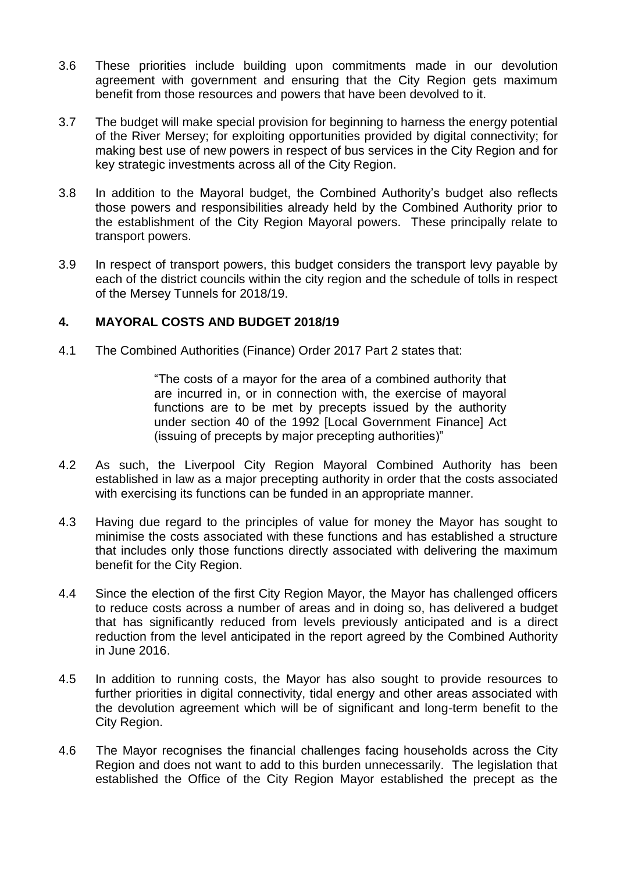- 3.6 These priorities include building upon commitments made in our devolution agreement with government and ensuring that the City Region gets maximum benefit from those resources and powers that have been devolved to it.
- 3.7 The budget will make special provision for beginning to harness the energy potential of the River Mersey; for exploiting opportunities provided by digital connectivity; for making best use of new powers in respect of bus services in the City Region and for key strategic investments across all of the City Region.
- 3.8 In addition to the Mayoral budget, the Combined Authority's budget also reflects those powers and responsibilities already held by the Combined Authority prior to the establishment of the City Region Mayoral powers. These principally relate to transport powers.
- 3.9 In respect of transport powers, this budget considers the transport levy payable by each of the district councils within the city region and the schedule of tolls in respect of the Mersey Tunnels for 2018/19.

# **4. MAYORAL COSTS AND BUDGET 2018/19**

4.1 The Combined Authorities (Finance) Order 2017 Part 2 states that:

"The costs of a mayor for the area of a combined authority that are incurred in, or in connection with, the exercise of mayoral functions are to be met by precepts issued by the authority under section 40 of the 1992 [Local Government Finance] Act (issuing of precepts by major precepting authorities)"

- 4.2 As such, the Liverpool City Region Mayoral Combined Authority has been established in law as a major precepting authority in order that the costs associated with exercising its functions can be funded in an appropriate manner.
- 4.3 Having due regard to the principles of value for money the Mayor has sought to minimise the costs associated with these functions and has established a structure that includes only those functions directly associated with delivering the maximum benefit for the City Region.
- 4.4 Since the election of the first City Region Mayor, the Mayor has challenged officers to reduce costs across a number of areas and in doing so, has delivered a budget that has significantly reduced from levels previously anticipated and is a direct reduction from the level anticipated in the report agreed by the Combined Authority in June 2016.
- 4.5 In addition to running costs, the Mayor has also sought to provide resources to further priorities in digital connectivity, tidal energy and other areas associated with the devolution agreement which will be of significant and long-term benefit to the City Region.
- 4.6 The Mayor recognises the financial challenges facing households across the City Region and does not want to add to this burden unnecessarily. The legislation that established the Office of the City Region Mayor established the precept as the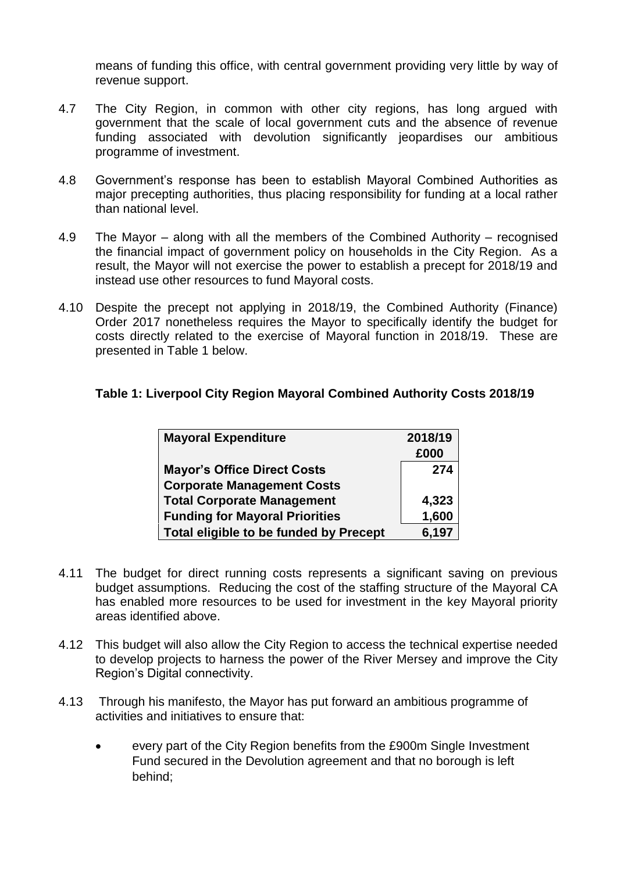means of funding this office, with central government providing very little by way of revenue support.

- 4.7 The City Region, in common with other city regions, has long argued with government that the scale of local government cuts and the absence of revenue funding associated with devolution significantly jeopardises our ambitious programme of investment.
- 4.8 Government's response has been to establish Mayoral Combined Authorities as major precepting authorities, thus placing responsibility for funding at a local rather than national level.
- 4.9 The Mayor along with all the members of the Combined Authority recognised the financial impact of government policy on households in the City Region. As a result, the Mayor will not exercise the power to establish a precept for 2018/19 and instead use other resources to fund Mayoral costs.
- 4.10 Despite the precept not applying in 2018/19, the Combined Authority (Finance) Order 2017 nonetheless requires the Mayor to specifically identify the budget for costs directly related to the exercise of Mayoral function in 2018/19. These are presented in Table 1 below.

# **Table 1: Liverpool City Region Mayoral Combined Authority Costs 2018/19**

| <b>Mayoral Expenditure</b>             | 2018/19 |
|----------------------------------------|---------|
|                                        | £000    |
| <b>Mayor's Office Direct Costs</b>     | 274     |
| <b>Corporate Management Costs</b>      |         |
| <b>Total Corporate Management</b>      | 4,323   |
| <b>Funding for Mayoral Priorities</b>  | 1,600   |
| Total eligible to be funded by Precept | 6,197   |

- 4.11 The budget for direct running costs represents a significant saving on previous budget assumptions. Reducing the cost of the staffing structure of the Mayoral CA has enabled more resources to be used for investment in the key Mayoral priority areas identified above.
- 4.12 This budget will also allow the City Region to access the technical expertise needed to develop projects to harness the power of the River Mersey and improve the City Region's Digital connectivity.
- 4.13 Through his manifesto, the Mayor has put forward an ambitious programme of activities and initiatives to ensure that:
	- every part of the City Region benefits from the £900m Single Investment Fund secured in the Devolution agreement and that no borough is left behind;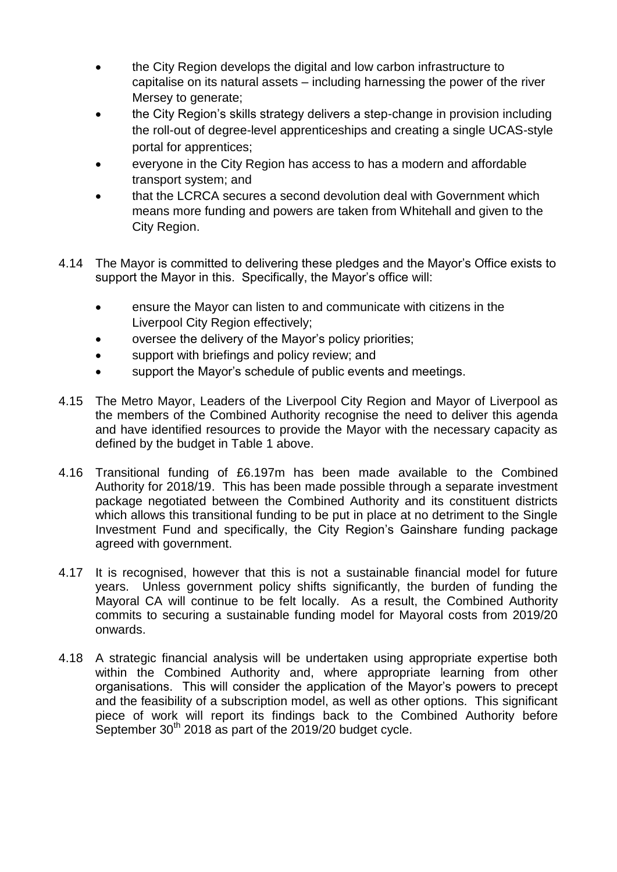- the City Region develops the digital and low carbon infrastructure to capitalise on its natural assets – including harnessing the power of the river Mersey to generate;
- the City Region's skills strategy delivers a step-change in provision including the roll-out of degree-level apprenticeships and creating a single UCAS-style portal for apprentices;
- everyone in the City Region has access to has a modern and affordable transport system; and
- that the LCRCA secures a second devolution deal with Government which means more funding and powers are taken from Whitehall and given to the City Region.
- 4.14 The Mayor is committed to delivering these pledges and the Mayor's Office exists to support the Mayor in this. Specifically, the Mayor's office will:
	- ensure the Mayor can listen to and communicate with citizens in the Liverpool City Region effectively;
	- oversee the delivery of the Mayor's policy priorities;
	- support with briefings and policy review; and
	- support the Mayor's schedule of public events and meetings.
- 4.15 The Metro Mayor, Leaders of the Liverpool City Region and Mayor of Liverpool as the members of the Combined Authority recognise the need to deliver this agenda and have identified resources to provide the Mayor with the necessary capacity as defined by the budget in Table 1 above.
- 4.16 Transitional funding of £6.197m has been made available to the Combined Authority for 2018/19. This has been made possible through a separate investment package negotiated between the Combined Authority and its constituent districts which allows this transitional funding to be put in place at no detriment to the Single Investment Fund and specifically, the City Region's Gainshare funding package agreed with government.
- 4.17 It is recognised, however that this is not a sustainable financial model for future years. Unless government policy shifts significantly, the burden of funding the Mayoral CA will continue to be felt locally. As a result, the Combined Authority commits to securing a sustainable funding model for Mayoral costs from 2019/20 onwards.
- 4.18 A strategic financial analysis will be undertaken using appropriate expertise both within the Combined Authority and, where appropriate learning from other organisations. This will consider the application of the Mayor's powers to precept and the feasibility of a subscription model, as well as other options. This significant piece of work will report its findings back to the Combined Authority before September  $30<sup>th</sup>$  2018 as part of the 2019/20 budget cycle.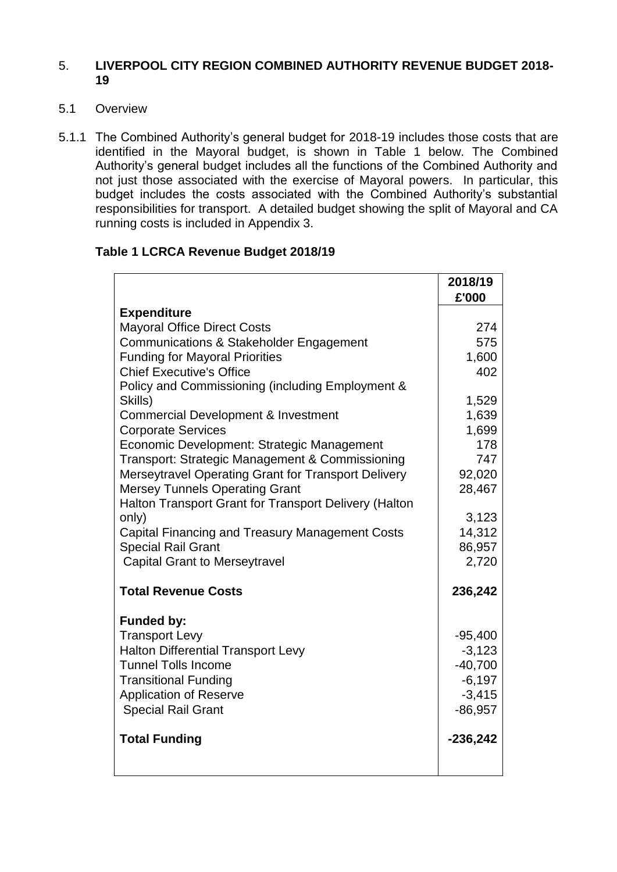# 5. **LIVERPOOL CITY REGION COMBINED AUTHORITY REVENUE BUDGET 2018- 19**

- 5.1 Overview
- 5.1.1 The Combined Authority's general budget for 2018-19 includes those costs that are identified in the Mayoral budget, is shown in Table 1 below. The Combined Authority's general budget includes all the functions of the Combined Authority and not just those associated with the exercise of Mayoral powers. In particular, this budget includes the costs associated with the Combined Authority's substantial responsibilities for transport. A detailed budget showing the split of Mayoral and CA running costs is included in Appendix 3.

### **Table 1 LCRCA Revenue Budget 2018/19**

|                                                        | 2018/19<br>£'000 |
|--------------------------------------------------------|------------------|
| <b>Expenditure</b>                                     |                  |
| <b>Mayoral Office Direct Costs</b>                     | 274              |
| <b>Communications &amp; Stakeholder Engagement</b>     | 575              |
| <b>Funding for Mayoral Priorities</b>                  | 1,600            |
| <b>Chief Executive's Office</b>                        | 402              |
| Policy and Commissioning (including Employment &       |                  |
| Skills)                                                | 1,529            |
| <b>Commercial Development &amp; Investment</b>         | 1,639            |
| <b>Corporate Services</b>                              | 1,699            |
| Economic Development: Strategic Management             | 178              |
| Transport: Strategic Management & Commissioning        | 747              |
| Merseytravel Operating Grant for Transport Delivery    | 92,020           |
| <b>Mersey Tunnels Operating Grant</b>                  | 28,467           |
| Halton Transport Grant for Transport Delivery (Halton  |                  |
| only)                                                  | 3,123            |
| <b>Capital Financing and Treasury Management Costs</b> | 14,312           |
| <b>Special Rail Grant</b>                              | 86,957           |
| <b>Capital Grant to Merseytravel</b>                   | 2,720            |
| <b>Total Revenue Costs</b>                             | 236,242          |
| <b>Funded by:</b>                                      |                  |
| <b>Transport Levy</b>                                  | $-95,400$        |
| <b>Halton Differential Transport Levy</b>              | $-3,123$         |
| <b>Tunnel Tolls Income</b>                             | $-40,700$        |
| <b>Transitional Funding</b>                            | $-6,197$         |
| <b>Application of Reserve</b>                          | $-3,415$         |
| <b>Special Rail Grant</b>                              | $-86,957$        |
| <b>Total Funding</b>                                   | $-236,242$       |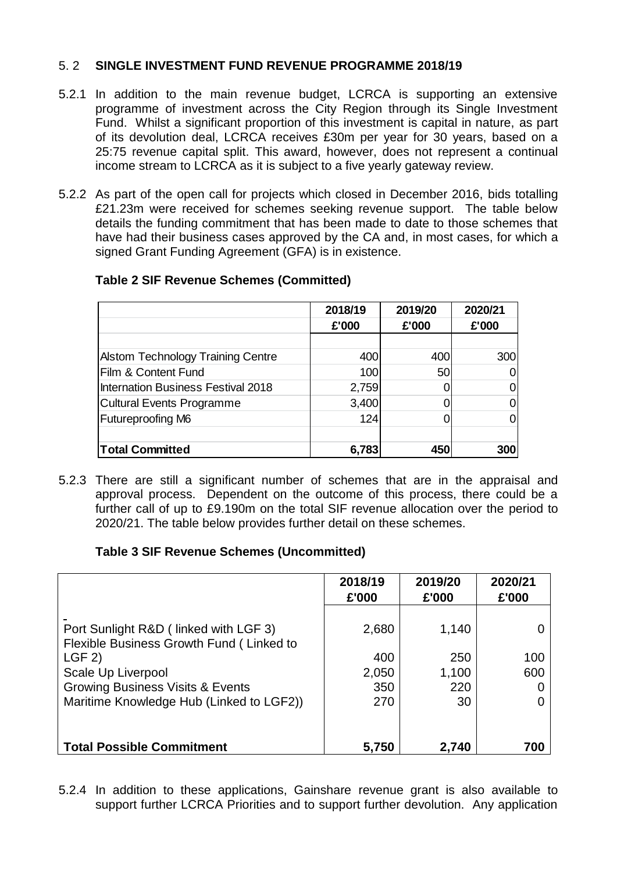# 5. 2 **SINGLE INVESTMENT FUND REVENUE PROGRAMME 2018/19**

- 5.2.1 In addition to the main revenue budget, LCRCA is supporting an extensive programme of investment across the City Region through its Single Investment Fund. Whilst a significant proportion of this investment is capital in nature, as part of its devolution deal, LCRCA receives £30m per year for 30 years, based on a 25:75 revenue capital split. This award, however, does not represent a continual income stream to LCRCA as it is subject to a five yearly gateway review.
- 5.2.2 As part of the open call for projects which closed in December 2016, bids totalling £21.23m were received for schemes seeking revenue support. The table below details the funding commitment that has been made to date to those schemes that have had their business cases approved by the CA and, in most cases, for which a signed Grant Funding Agreement (GFA) is in existence.

|                                           | 2018/19 | 2019/20 | 2020/21 |
|-------------------------------------------|---------|---------|---------|
|                                           | £'000   | £'000   | £'000   |
|                                           |         |         |         |
| <b>Alstom Technology Training Centre</b>  | 400     | 400     | 300     |
| Film & Content Fund                       | 100     | 50      |         |
| <b>Internation Business Festival 2018</b> | 2,759   |         |         |
| Cultural Events Programme                 | 3,400   |         |         |
| <b>Futureproofing M6</b>                  | 124     |         |         |
|                                           |         |         |         |
| <b>Total Committed</b>                    | 6,783   | 450     | 300     |

### **Table 2 SIF Revenue Schemes (Committed)**

### **Table 3 SIF Revenue Schemes (Uncommitted)**

|       |                                                                                                                                                                                                                                                                                                                                   | 2018/19 | 2019/20     | 2020/21 |             |
|-------|-----------------------------------------------------------------------------------------------------------------------------------------------------------------------------------------------------------------------------------------------------------------------------------------------------------------------------------|---------|-------------|---------|-------------|
|       |                                                                                                                                                                                                                                                                                                                                   | £'000   | £'000       | £'000   |             |
|       |                                                                                                                                                                                                                                                                                                                                   |         |             |         |             |
|       | <b>Alstom Technology Training Centre</b>                                                                                                                                                                                                                                                                                          | 400     | 400         | 300     |             |
|       | Film & Content Fund                                                                                                                                                                                                                                                                                                               | 100     | 50          | 0       |             |
|       | <b>Internation Business Festival 2018</b>                                                                                                                                                                                                                                                                                         | 2,759   | 0           | 0       |             |
|       | <b>Cultural Events Programme</b>                                                                                                                                                                                                                                                                                                  | 3,400   | $\mathbf 0$ | 0       |             |
|       | Futureproofing M6                                                                                                                                                                                                                                                                                                                 | 124     | $\Omega$    | 0       |             |
|       | <b>Total Committed</b>                                                                                                                                                                                                                                                                                                            | 6,783   | 450         | 300     |             |
|       | 5.2.3 There are still a significant number of schemes that are in the appraisal and<br>approval process. Dependent on the outcome of this process, there could be a<br>further call of up to £9.190m on the total SIF revenue allocation over the period to<br>2020/21. The table below provides further detail on these schemes. |         |             |         |             |
|       | <b>Table 3 SIF Revenue Schemes (Uncommitted)</b>                                                                                                                                                                                                                                                                                  |         |             |         |             |
|       |                                                                                                                                                                                                                                                                                                                                   | 2018/19 | 2019/20     | 2020/21 |             |
|       |                                                                                                                                                                                                                                                                                                                                   | £'000   | £'000       | £'000   |             |
|       |                                                                                                                                                                                                                                                                                                                                   |         |             |         |             |
|       | Port Sunlight R&D (linked with LGF 3)<br>Flexible Business Growth Fund (Linked to                                                                                                                                                                                                                                                 | 2,680   |             | 1,140   | $\mathbf 0$ |
| LGF 2 |                                                                                                                                                                                                                                                                                                                                   |         | 400         | 250     |             |
|       | Scale Up Liverpool                                                                                                                                                                                                                                                                                                                | 2,050   |             | 1,100   | 100<br>600  |
|       | <b>Growing Business Visits &amp; Events</b>                                                                                                                                                                                                                                                                                       |         | 350         | 220     | 0           |
|       | Maritime Knowledge Hub (Linked to LGF2))                                                                                                                                                                                                                                                                                          |         | 270         | 30      | 0           |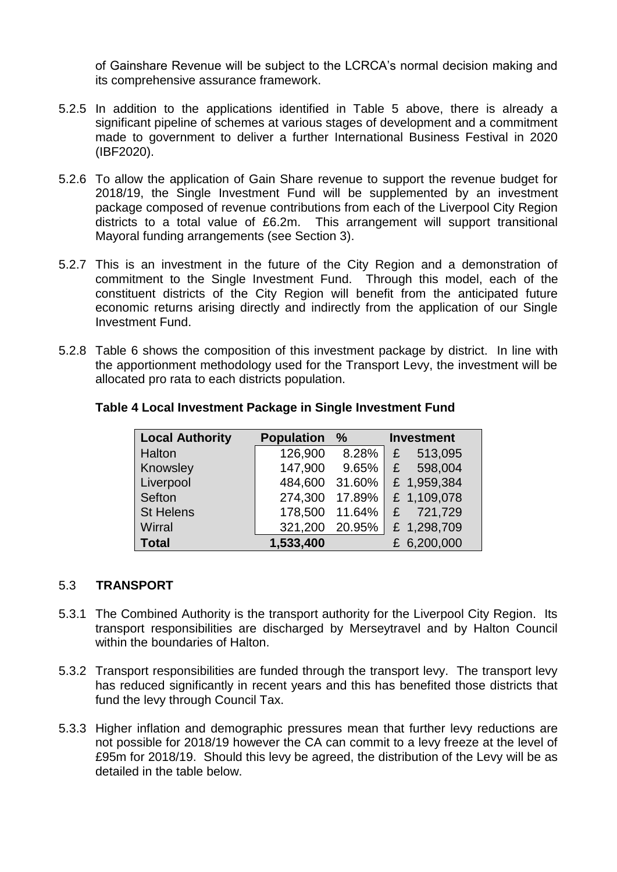of Gainshare Revenue will be subject to the LCRCA's normal decision making and its comprehensive assurance framework.

- 5.2.5 In addition to the applications identified in Table 5 above, there is already a significant pipeline of schemes at various stages of development and a commitment made to government to deliver a further International Business Festival in 2020 (IBF2020).
- 5.2.6 To allow the application of Gain Share revenue to support the revenue budget for 2018/19, the Single Investment Fund will be supplemented by an investment package composed of revenue contributions from each of the Liverpool City Region districts to a total value of £6.2m. This arrangement will support transitional Mayoral funding arrangements (see Section 3).
- 5.2.7 This is an investment in the future of the City Region and a demonstration of commitment to the Single Investment Fund. Through this model, each of the constituent districts of the City Region will benefit from the anticipated future economic returns arising directly and indirectly from the application of our Single Investment Fund.
- 5.2.8 Table 6 shows the composition of this investment package by district. In line with the apportionment methodology used for the Transport Levy, the investment will be allocated pro rata to each districts population.

| <b>Local Authority</b> | <b>Population</b> | $\%$   | <b>Investment</b> |
|------------------------|-------------------|--------|-------------------|
| Halton                 | 126,900           | 8.28%  | 513,095<br>£      |
| Knowsley               | 147,900           | 9.65%  | 598,004<br>£      |
| Liverpool              | 484,600           | 31.60% | £ 1,959,384       |
| Sefton                 | 274,300           | 17.89% | £ 1,109,078       |
| <b>St Helens</b>       | 178,500           | 11.64% | 721,729<br>£      |
| Wirral                 | 321,200           | 20.95% | £ 1,298,709       |
| <b>Total</b>           | 1,533,400         |        | £ 6,200,000       |

### **Table 4 Local Investment Package in Single Investment Fund**

### 5.3 **TRANSPORT**

- 5.3.1 The Combined Authority is the transport authority for the Liverpool City Region. Its transport responsibilities are discharged by Merseytravel and by Halton Council within the boundaries of Halton.
- 5.3.2 Transport responsibilities are funded through the transport levy. The transport levy has reduced significantly in recent years and this has benefited those districts that fund the levy through Council Tax.
- 5.3.3 Higher inflation and demographic pressures mean that further levy reductions are not possible for 2018/19 however the CA can commit to a levy freeze at the level of £95m for 2018/19. Should this levy be agreed, the distribution of the Levy will be as detailed in the table below.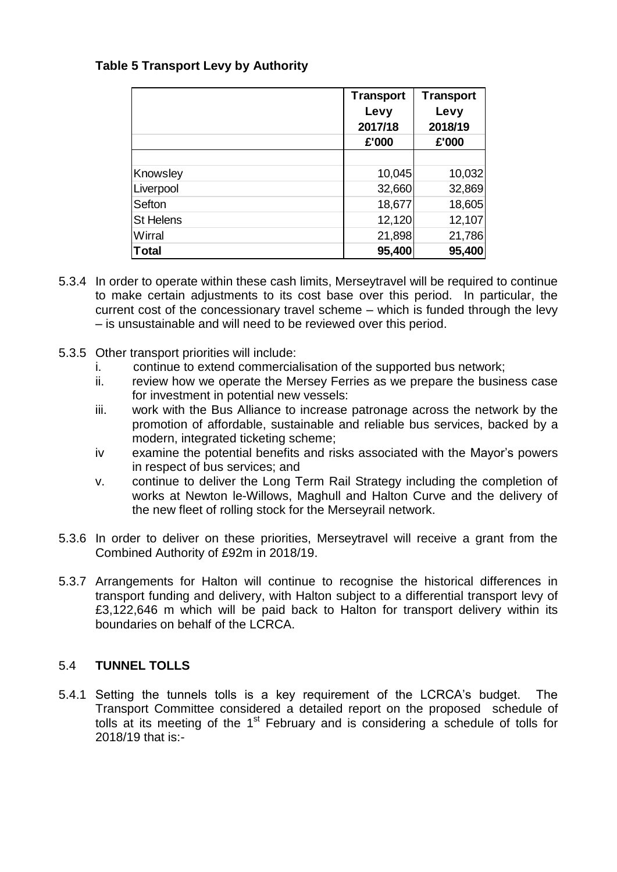# **Table 5 Transport Levy by Authority**

|                  | <b>Transport</b> | <b>Transport</b> |
|------------------|------------------|------------------|
|                  | Levy             | Levy             |
|                  | 2017/18          | 2018/19          |
|                  | £'000            | £'000            |
|                  |                  |                  |
| Knowsley         | 10,045           | 10,032           |
| Liverpool        | 32,660           | 32,869           |
| <b>Sefton</b>    | 18,677           | 18,605           |
| <b>St Helens</b> | 12,120           | 12,107           |
| Wirral           | 21,898           | 21,786           |
| Total            | 95,400           | 95,400           |

- 5.3.4 In order to operate within these cash limits, Merseytravel will be required to continue to make certain adjustments to its cost base over this period. In particular, the current cost of the concessionary travel scheme – which is funded through the levy – is unsustainable and will need to be reviewed over this period.
- 5.3.5 Other transport priorities will include:
	- i. continue to extend commercialisation of the supported bus network;
	- ii. review how we operate the Mersey Ferries as we prepare the business case for investment in potential new vessels:
	- iii. work with the Bus Alliance to increase patronage across the network by the promotion of affordable, sustainable and reliable bus services, backed by a modern, integrated ticketing scheme;
	- iv examine the potential benefits and risks associated with the Mayor's powers in respect of bus services; and
	- v. continue to deliver the Long Term Rail Strategy including the completion of works at Newton le-Willows, Maghull and Halton Curve and the delivery of the new fleet of rolling stock for the Merseyrail network.
- 5.3.6 In order to deliver on these priorities, Merseytravel will receive a grant from the Combined Authority of £92m in 2018/19.
- 5.3.7 Arrangements for Halton will continue to recognise the historical differences in transport funding and delivery, with Halton subject to a differential transport levy of £3,122,646 m which will be paid back to Halton for transport delivery within its boundaries on behalf of the LCRCA.

# 5.4 **TUNNEL TOLLS**

5.4.1 Setting the tunnels tolls is a key requirement of the LCRCA's budget. The Transport Committee considered a detailed report on the proposed schedule of tolls at its meeting of the  $1<sup>st</sup>$  February and is considering a schedule of tolls for 2018/19 that is:-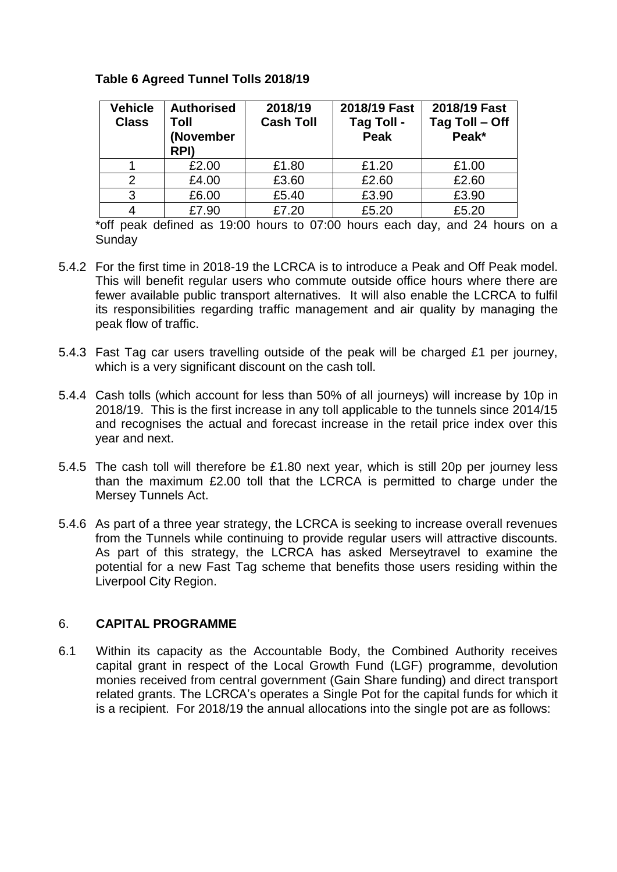# **Table 6 Agreed Tunnel Tolls 2018/19**

| <b>Vehicle</b><br><b>Class</b> | <b>Authorised</b><br>Toll<br>(November<br>RPI) | 2018/19<br><b>Cash Toll</b> | 2018/19 Fast<br><b>Tag Toll -</b><br><b>Peak</b> | 2018/19 Fast<br>Tag Toll - Off<br>Peak* |
|--------------------------------|------------------------------------------------|-----------------------------|--------------------------------------------------|-----------------------------------------|
|                                | £2.00                                          | £1.80                       | £1.20                                            | £1.00                                   |
| っ                              | £4.00                                          | £3.60                       | £2.60                                            | £2.60                                   |
| 3                              | £6.00                                          | £5.40                       | £3.90                                            | £3.90                                   |
|                                | £7.90                                          | £7.20                       | £5.20                                            | £5.20                                   |

\*off peak defined as 19:00 hours to 07:00 hours each day, and 24 hours on a **Sunday** 

- 5.4.2 For the first time in 2018-19 the LCRCA is to introduce a Peak and Off Peak model. This will benefit regular users who commute outside office hours where there are fewer available public transport alternatives. It will also enable the LCRCA to fulfil its responsibilities regarding traffic management and air quality by managing the peak flow of traffic.
- 5.4.3 Fast Tag car users travelling outside of the peak will be charged £1 per journey, which is a very significant discount on the cash toll.
- 5.4.4 Cash tolls (which account for less than 50% of all journeys) will increase by 10p in 2018/19. This is the first increase in any toll applicable to the tunnels since 2014/15 and recognises the actual and forecast increase in the retail price index over this year and next.
- 5.4.5 The cash toll will therefore be £1.80 next year, which is still 20p per journey less than the maximum £2.00 toll that the LCRCA is permitted to charge under the Mersey Tunnels Act.
- 5.4.6 As part of a three year strategy, the LCRCA is seeking to increase overall revenues from the Tunnels while continuing to provide regular users will attractive discounts. As part of this strategy, the LCRCA has asked Merseytravel to examine the potential for a new Fast Tag scheme that benefits those users residing within the Liverpool City Region.

### 6. **CAPITAL PROGRAMME**

6.1 Within its capacity as the Accountable Body, the Combined Authority receives capital grant in respect of the Local Growth Fund (LGF) programme, devolution monies received from central government (Gain Share funding) and direct transport related grants. The LCRCA's operates a Single Pot for the capital funds for which it is a recipient. For 2018/19 the annual allocations into the single pot are as follows: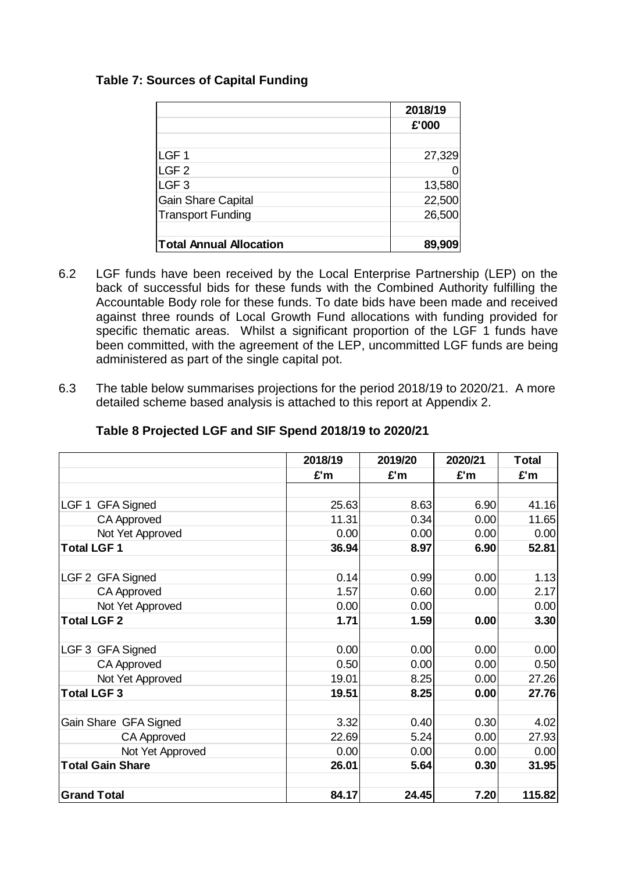# **Table 7: Sources of Capital Funding**

|                                | 2018/19 |
|--------------------------------|---------|
|                                | £'000   |
|                                |         |
| LGF <sub>1</sub>               | 27,329  |
| LGF <sub>2</sub>               |         |
| LGF <sub>3</sub>               | 13,580  |
| <b>Gain Share Capital</b>      | 22,500  |
| <b>Transport Funding</b>       | 26,500  |
|                                |         |
| <b>Total Annual Allocation</b> | 89,909  |

- 6.2 LGF funds have been received by the Local Enterprise Partnership (LEP) on the back of successful bids for these funds with the Combined Authority fulfilling the Accountable Body role for these funds. To date bids have been made and received against three rounds of Local Growth Fund allocations with funding provided for specific thematic areas. Whilst a significant proportion of the LGF 1 funds have been committed, with the agreement of the LEP, uncommitted LGF funds are being administered as part of the single capital pot.
- 6.3 The table below summarises projections for the period 2018/19 to 2020/21. A more detailed scheme based analysis is attached to this report at Appendix 2.

|                                       | 2018/19 | 2019/20 | 2020/21 | <b>Total</b> |
|---------------------------------------|---------|---------|---------|--------------|
|                                       | £'m     | £'m     | £'m     | £'m          |
|                                       |         |         |         |              |
| LGF <sub>1</sub><br><b>GFA Signed</b> | 25.63   | 8.63    | 6.90    | 41.16        |
| <b>CA Approved</b>                    | 11.31   | 0.34    | 0.00    | 11.65        |
| Not Yet Approved                      | 0.00    | 0.00    | 0.00    | 0.00         |
| <b>Total LGF1</b>                     | 36.94   | 8.97    | 6.90    | 52.81        |
| LGF 2 GFA Signed                      | 0.14    | 0.99    | 0.00    | 1.13         |
| <b>CA Approved</b>                    | 1.57    | 0.60    | 0.00    | 2.17         |
| Not Yet Approved                      | 0.00    | 0.00    |         | 0.00         |
| <b>Total LGF 2</b>                    | 1.71    | 1.59    | 0.00    | 3.30         |
| LGF 3 GFA Signed                      | 0.00    | 0.00    | 0.00    | 0.00         |
| <b>CA Approved</b>                    | 0.50    | 0.00    | 0.00    | 0.50         |
| Not Yet Approved                      | 19.01   | 8.25    | 0.00    | 27.26        |
| <b>Total LGF3</b>                     | 19.51   | 8.25    | 0.00    | 27.76        |
| Gain Share GFA Signed                 | 3.32    | 0.40    | 0.30    | 4.02         |
| <b>CA Approved</b>                    | 22.69   | 5.24    | 0.00    | 27.93        |
| Not Yet Approved                      | 0.00    | 0.00    | 0.00    | 0.00         |
| <b>Total Gain Share</b>               | 26.01   | 5.64    | 0.30    | 31.95        |
| <b>Grand Total</b>                    | 84.17   | 24.45   | 7.20    | 115.82       |

# **Table 8 Projected LGF and SIF Spend 2018/19 to 2020/21**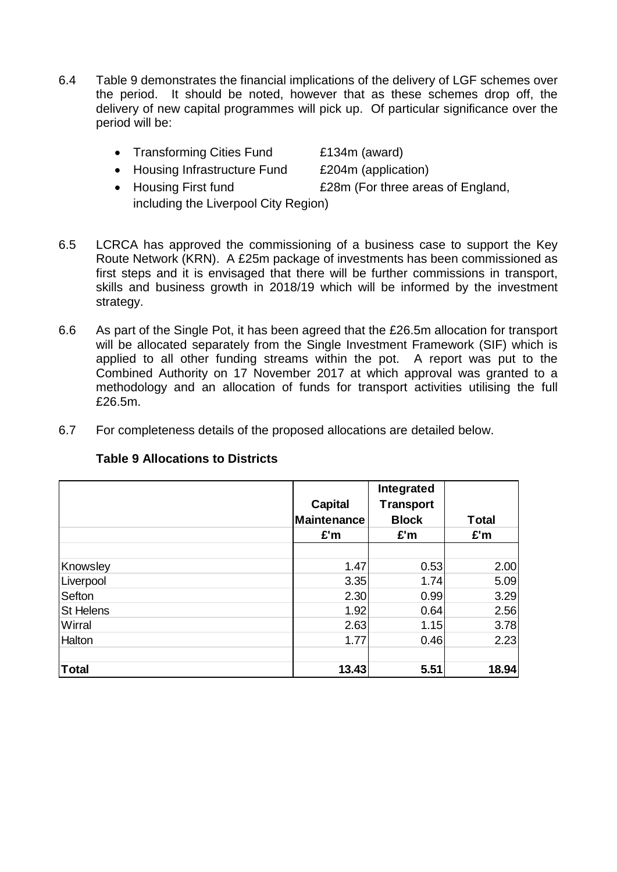- 6.4 Table 9 demonstrates the financial implications of the delivery of LGF schemes over the period. It should be noted, however that as these schemes drop off, the delivery of new capital programmes will pick up. Of particular significance over the period will be:
	- Transforming Cities Fund £134m (award)
	- Housing Infrastructure Fund £204m (application)
	- Housing First fund **EXAM** E28m (For three areas of England, including the Liverpool City Region)
- 6.5 LCRCA has approved the commissioning of a business case to support the Key Route Network (KRN). A £25m package of investments has been commissioned as first steps and it is envisaged that there will be further commissions in transport, skills and business growth in 2018/19 which will be informed by the investment strategy.
- 6.6 As part of the Single Pot, it has been agreed that the £26.5m allocation for transport will be allocated separately from the Single Investment Framework (SIF) which is applied to all other funding streams within the pot. A report was put to the Combined Authority on 17 November 2017 at which approval was granted to a methodology and an allocation of funds for transport activities utilising the full £26.5m.
- 6.7 For completeness details of the proposed allocations are detailed below.

|                  | <b>Capital</b> | Integrated<br><b>Transport</b> |              |
|------------------|----------------|--------------------------------|--------------|
|                  | Maintenance    | <b>Block</b>                   | <b>Total</b> |
|                  | £'m            | E'm                            | £'m          |
|                  |                |                                |              |
| Knowsley         | 1.47           | 0.53                           | 2.00         |
| Liverpool        | 3.35           | 1.74                           | 5.09         |
| Sefton           | 2.30           | 0.99                           | 3.29         |
| <b>St Helens</b> | 1.92           | 0.64                           | 2.56         |
| Wirral           | 2.63           | 1.15                           | 3.78         |
| <b>Halton</b>    | 1.77           | 0.46                           | 2.23         |
| <b>Total</b>     | 13.43          | 5.51                           | 18.94        |

# **Table 9 Allocations to Districts**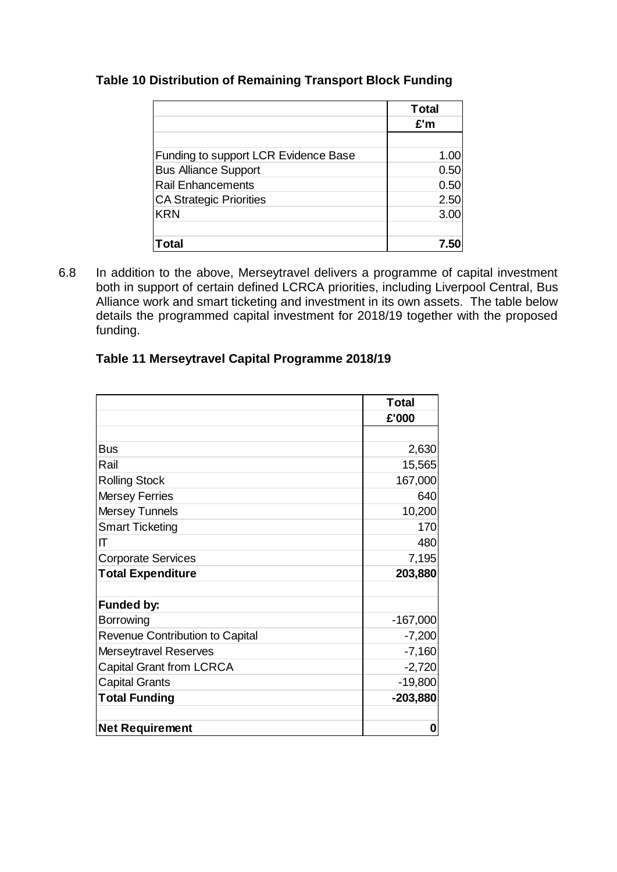# **Table 10 Distribution of Remaining Transport Block Funding**

|                                      | <b>Total</b> |
|--------------------------------------|--------------|
|                                      | £'m          |
|                                      |              |
| Funding to support LCR Evidence Base | 1.00         |
| <b>Bus Alliance Support</b>          | 0.50         |
| <b>Rail Enhancements</b>             | 0.50         |
| <b>CA Strategic Priorities</b>       | 2.50         |
| <b>KRN</b>                           | 3.00         |
|                                      |              |
| Гоtal                                | 7.5          |

6.8 In addition to the above, Merseytravel delivers a programme of capital investment both in support of certain defined LCRCA priorities, including Liverpool Central, Bus Alliance work and smart ticketing and investment in its own assets. The table below details the programmed capital investment for 2018/19 together with the proposed funding.

|  | Table 11 Merseytravel Capital Programme 2018/19 |  |
|--|-------------------------------------------------|--|
|  |                                                 |  |

|                                        | <b>Total</b> |
|----------------------------------------|--------------|
|                                        | £'000        |
|                                        |              |
| <b>Bus</b>                             | 2,630        |
| Rail                                   | 15,565       |
| <b>Rolling Stock</b>                   | 167,000      |
| <b>Mersey Ferries</b>                  | 640          |
| <b>Mersey Tunnels</b>                  | 10,200       |
| <b>Smart Ticketing</b>                 | 170          |
| ΙΤ                                     | 480          |
| <b>Corporate Services</b>              | 7,195        |
| <b>Total Expenditure</b>               | 203,880      |
|                                        |              |
| Funded by:                             |              |
| <b>Borrowing</b>                       | $-167,000$   |
| <b>Revenue Contribution to Capital</b> | $-7,200$     |
| Merseytravel Reserves                  | $-7,160$     |
| <b>Capital Grant from LCRCA</b>        | $-2,720$     |
| <b>Capital Grants</b>                  | $-19,800$    |
| <b>Total Funding</b>                   | $-203,880$   |
| <b>Net Requirement</b>                 | O            |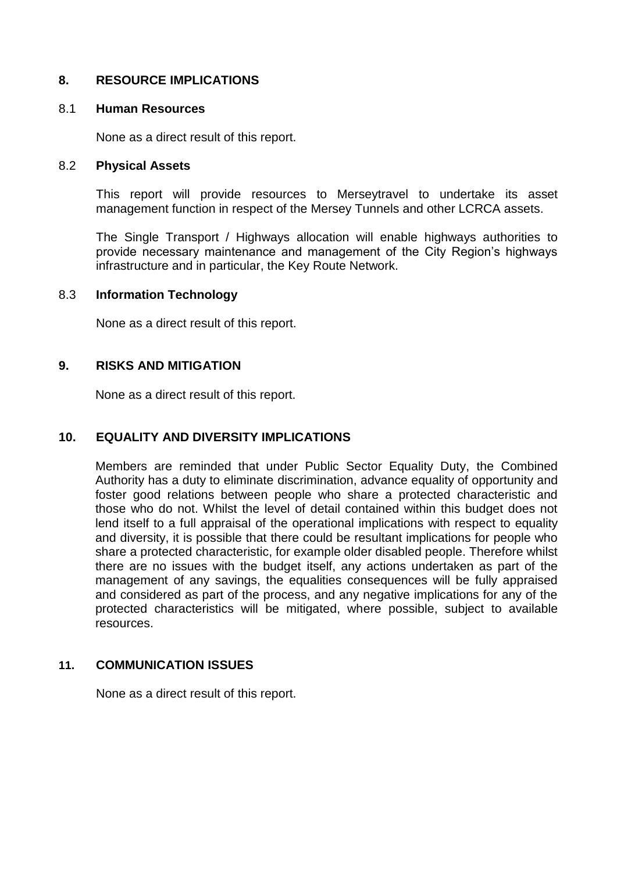# **8. RESOURCE IMPLICATIONS**

#### 8.1 **Human Resources**

None as a direct result of this report.

#### 8.2 **Physical Assets**

This report will provide resources to Merseytravel to undertake its asset management function in respect of the Mersey Tunnels and other LCRCA assets.

The Single Transport / Highways allocation will enable highways authorities to provide necessary maintenance and management of the City Region's highways infrastructure and in particular, the Key Route Network.

#### 8.3 **Information Technology**

None as a direct result of this report.

#### **9. RISKS AND MITIGATION**

None as a direct result of this report.

#### **10. EQUALITY AND DIVERSITY IMPLICATIONS**

Members are reminded that under Public Sector Equality Duty, the Combined Authority has a duty to eliminate discrimination, advance equality of opportunity and foster good relations between people who share a protected characteristic and those who do not. Whilst the level of detail contained within this budget does not lend itself to a full appraisal of the operational implications with respect to equality and diversity, it is possible that there could be resultant implications for people who share a protected characteristic, for example older disabled people. Therefore whilst there are no issues with the budget itself, any actions undertaken as part of the management of any savings, the equalities consequences will be fully appraised and considered as part of the process, and any negative implications for any of the protected characteristics will be mitigated, where possible, subject to available resources.

#### **11. COMMUNICATION ISSUES**

None as a direct result of this report.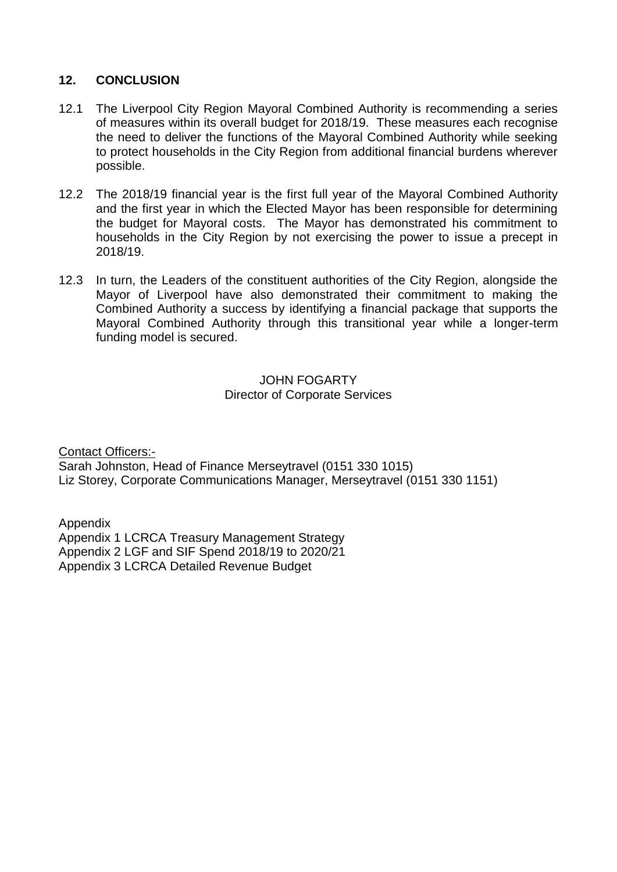# **12. CONCLUSION**

- 12.1 The Liverpool City Region Mayoral Combined Authority is recommending a series of measures within its overall budget for 2018/19. These measures each recognise the need to deliver the functions of the Mayoral Combined Authority while seeking to protect households in the City Region from additional financial burdens wherever possible.
- 12.2 The 2018/19 financial year is the first full year of the Mayoral Combined Authority and the first year in which the Elected Mayor has been responsible for determining the budget for Mayoral costs. The Mayor has demonstrated his commitment to households in the City Region by not exercising the power to issue a precept in 2018/19.
- 12.3 In turn, the Leaders of the constituent authorities of the City Region, alongside the Mayor of Liverpool have also demonstrated their commitment to making the Combined Authority a success by identifying a financial package that supports the Mayoral Combined Authority through this transitional year while a longer-term funding model is secured.

JOHN FOGARTY Director of Corporate Services

Contact Officers:- Sarah Johnston, Head of Finance Merseytravel (0151 330 1015) Liz Storey, Corporate Communications Manager, Merseytravel (0151 330 1151)

Appendix Appendix 1 LCRCA Treasury Management Strategy Appendix 2 LGF and SIF Spend 2018/19 to 2020/21 Appendix 3 LCRCA Detailed Revenue Budget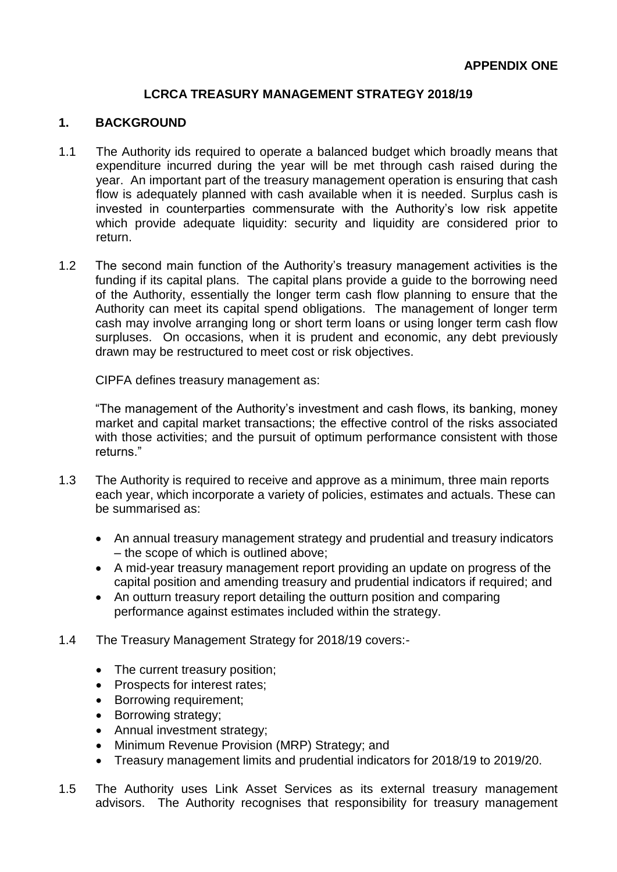## **LCRCA TREASURY MANAGEMENT STRATEGY 2018/19**

#### **1. BACKGROUND**

- 1.1 The Authority ids required to operate a balanced budget which broadly means that expenditure incurred during the year will be met through cash raised during the year. An important part of the treasury management operation is ensuring that cash flow is adequately planned with cash available when it is needed. Surplus cash is invested in counterparties commensurate with the Authority's low risk appetite which provide adequate liquidity: security and liquidity are considered prior to return.
- 1.2 The second main function of the Authority's treasury management activities is the funding if its capital plans. The capital plans provide a guide to the borrowing need of the Authority, essentially the longer term cash flow planning to ensure that the Authority can meet its capital spend obligations. The management of longer term cash may involve arranging long or short term loans or using longer term cash flow surpluses. On occasions, when it is prudent and economic, any debt previously drawn may be restructured to meet cost or risk objectives.

CIPFA defines treasury management as:

"The management of the Authority's investment and cash flows, its banking, money market and capital market transactions; the effective control of the risks associated with those activities; and the pursuit of optimum performance consistent with those returns."

- 1.3 The Authority is required to receive and approve as a minimum, three main reports each year, which incorporate a variety of policies, estimates and actuals. These can be summarised as:
	- An annual treasury management strategy and prudential and treasury indicators – the scope of which is outlined above;
	- A mid-year treasury management report providing an update on progress of the capital position and amending treasury and prudential indicators if required; and
	- An outturn treasury report detailing the outturn position and comparing performance against estimates included within the strategy.
- 1.4 The Treasury Management Strategy for 2018/19 covers:-
	- The current treasury position;
	- Prospects for interest rates;
	- Borrowing requirement;
	- Borrowing strategy:
	- Annual investment strategy;
	- Minimum Revenue Provision (MRP) Strategy: and
	- Treasury management limits and prudential indicators for 2018/19 to 2019/20.
- 1.5 The Authority uses Link Asset Services as its external treasury management advisors. The Authority recognises that responsibility for treasury management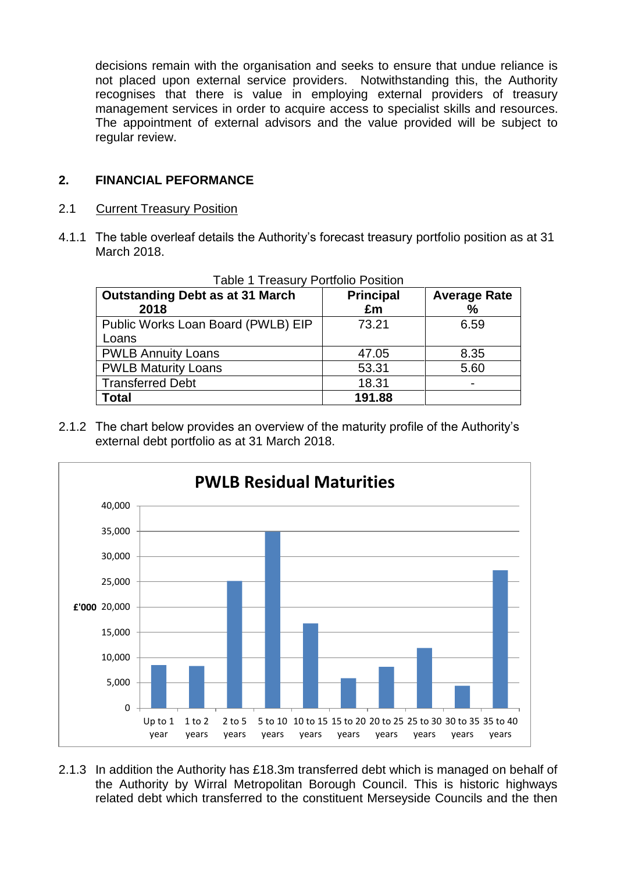decisions remain with the organisation and seeks to ensure that undue reliance is not placed upon external service providers. Notwithstanding this, the Authority recognises that there is value in employing external providers of treasury management services in order to acquire access to specialist skills and resources. The appointment of external advisors and the value provided will be subject to regular review.

# **2. FINANCIAL PEFORMANCE**

## 2.1 Current Treasury Position

4.1.1 The table overleaf details the Authority's forecast treasury portfolio position as at 31 March 2018.

| <b>Outstanding Debt as at 31 March</b><br>2018 | <b>Principal</b><br>£m | <b>Average Rate</b><br>% |
|------------------------------------------------|------------------------|--------------------------|
| Public Works Loan Board (PWLB) EIP<br>Loans    | 73.21                  | 6.59                     |
| <b>PWLB Annuity Loans</b>                      | 47.05                  | 8.35                     |
| <b>PWLB Maturity Loans</b>                     | 53.31                  | 5.60                     |
| <b>Transferred Debt</b>                        | 18.31                  |                          |
| <b>Total</b>                                   | 191.88                 |                          |

Table 1 Treasury Portfolio Position

2.1.2 The chart below provides an overview of the maturity profile of the Authority's external debt portfolio as at 31 March 2018.



2.1.3 In addition the Authority has £18.3m transferred debt which is managed on behalf of the Authority by Wirral Metropolitan Borough Council. This is historic highways related debt which transferred to the constituent Merseyside Councils and the then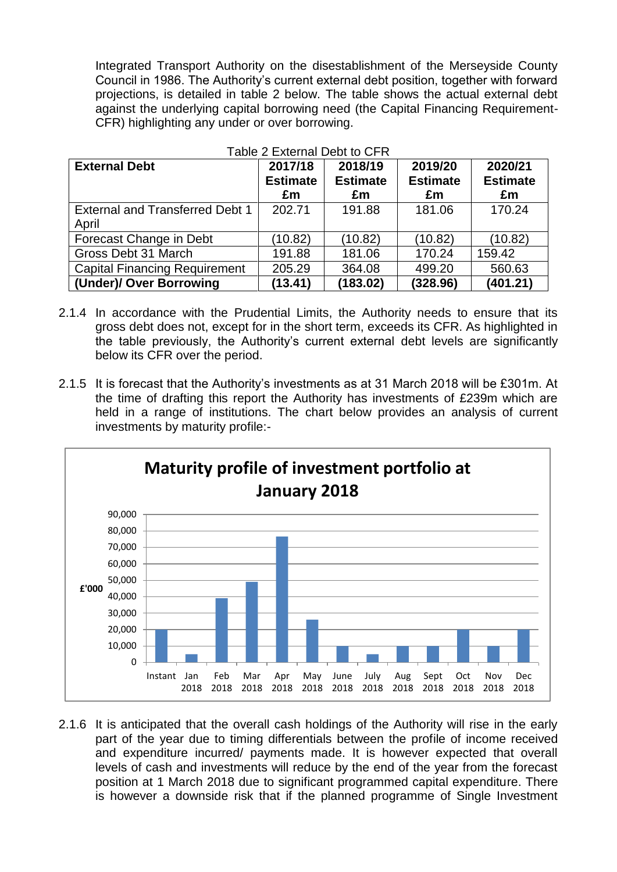Integrated Transport Authority on the disestablishment of the Merseyside County Council in 1986. The Authority's current external debt position, together with forward projections, is detailed in table 2 below. The table shows the actual external debt against the underlying capital borrowing need (the Capital Financing Requirement-CFR) highlighting any under or over borrowing.

| Table 2 External Debt to CFR           |                 |                 |                 |                 |  |  |  |  |
|----------------------------------------|-----------------|-----------------|-----------------|-----------------|--|--|--|--|
| <b>External Debt</b>                   | 2017/18         | 2018/19         | 2019/20         | 2020/21         |  |  |  |  |
|                                        | <b>Estimate</b> | <b>Estimate</b> | <b>Estimate</b> | <b>Estimate</b> |  |  |  |  |
|                                        | £m              | £m              | £m              | £m              |  |  |  |  |
| <b>External and Transferred Debt 1</b> | 202.71          | 191.88          | 181.06          | 170.24          |  |  |  |  |
| April                                  |                 |                 |                 |                 |  |  |  |  |
| Forecast Change in Debt                | (10.82)         | (10.82)         | (10.82)         | (10.82)         |  |  |  |  |
| Gross Debt 31 March                    | 191.88          | 181.06          | 170.24          | 159.42          |  |  |  |  |
| <b>Capital Financing Requirement</b>   | 205.29          | 364.08          | 499.20          | 560.63          |  |  |  |  |
| (Under)/ Over Borrowing                | (13.41)         | (183.02)        | (328.96)        | (401.21)        |  |  |  |  |

- 2.1.4 In accordance with the Prudential Limits, the Authority needs to ensure that its gross debt does not, except for in the short term, exceeds its CFR. As highlighted in the table previously, the Authority's current external debt levels are significantly below its CFR over the period.
- 2.1.5 It is forecast that the Authority's investments as at 31 March 2018 will be £301m. At the time of drafting this report the Authority has investments of £239m which are held in a range of institutions. The chart below provides an analysis of current investments by maturity profile:-



2.1.6 It is anticipated that the overall cash holdings of the Authority will rise in the early part of the year due to timing differentials between the profile of income received and expenditure incurred/ payments made. It is however expected that overall levels of cash and investments will reduce by the end of the year from the forecast position at 1 March 2018 due to significant programmed capital expenditure. There is however a downside risk that if the planned programme of Single Investment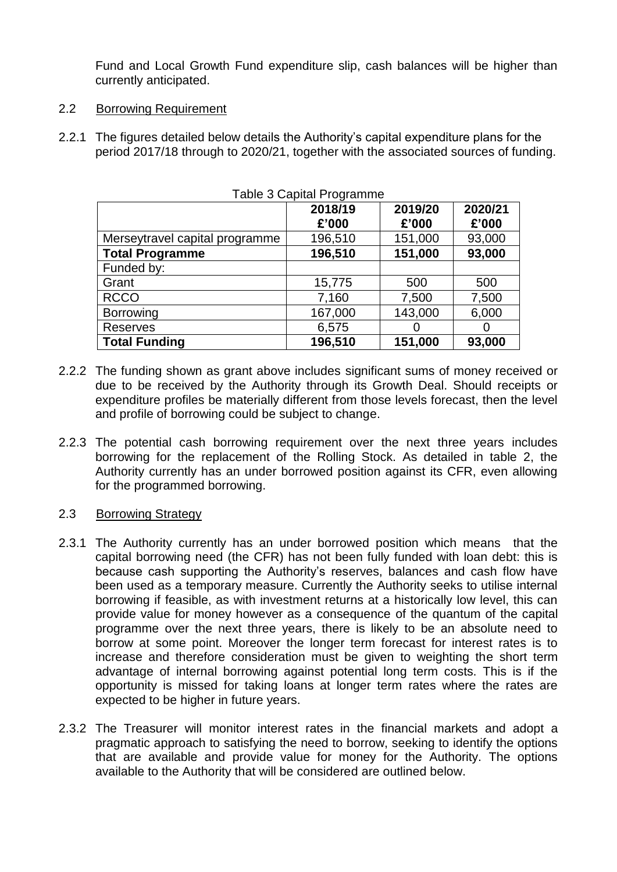Fund and Local Growth Fund expenditure slip, cash balances will be higher than currently anticipated.

- 2.2 Borrowing Requirement
- 2.2.1 The figures detailed below details the Authority's capital expenditure plans for the period 2017/18 through to 2020/21, together with the associated sources of funding.

|                                | Table 3 Gapital Programme |                  |                  |
|--------------------------------|---------------------------|------------------|------------------|
|                                | 2018/19<br>£'000          | 2019/20<br>£'000 | 2020/21<br>£'000 |
| Merseytravel capital programme | 196,510                   | 151,000          | 93,000           |
| <b>Total Programme</b>         | 196,510                   | 151,000          | 93,000           |
| Funded by:                     |                           |                  |                  |
| Grant                          | 15,775                    | 500              | 500              |
| <b>RCCO</b>                    | 7,160                     | 7,500            | 7,500            |
| Borrowing                      | 167,000                   | 143,000          | 6,000            |
| <b>Reserves</b>                | 6,575                     | O                |                  |
| <b>Total Funding</b>           | 196,510                   | 151,000          | 93,000           |

 $T$ able  $\Omega$   $\Omega$  and  $T$ 

- 2.2.2 The funding shown as grant above includes significant sums of money received or due to be received by the Authority through its Growth Deal. Should receipts or expenditure profiles be materially different from those levels forecast, then the level and profile of borrowing could be subject to change.
- 2.2.3 The potential cash borrowing requirement over the next three years includes borrowing for the replacement of the Rolling Stock. As detailed in table 2, the Authority currently has an under borrowed position against its CFR, even allowing for the programmed borrowing.
- 2.3 Borrowing Strategy
- 2.3.1 The Authority currently has an under borrowed position which means that the capital borrowing need (the CFR) has not been fully funded with loan debt: this is because cash supporting the Authority's reserves, balances and cash flow have been used as a temporary measure. Currently the Authority seeks to utilise internal borrowing if feasible, as with investment returns at a historically low level, this can provide value for money however as a consequence of the quantum of the capital programme over the next three years, there is likely to be an absolute need to borrow at some point. Moreover the longer term forecast for interest rates is to increase and therefore consideration must be given to weighting the short term advantage of internal borrowing against potential long term costs. This is if the opportunity is missed for taking loans at longer term rates where the rates are expected to be higher in future years.
- 2.3.2 The Treasurer will monitor interest rates in the financial markets and adopt a pragmatic approach to satisfying the need to borrow, seeking to identify the options that are available and provide value for money for the Authority. The options available to the Authority that will be considered are outlined below.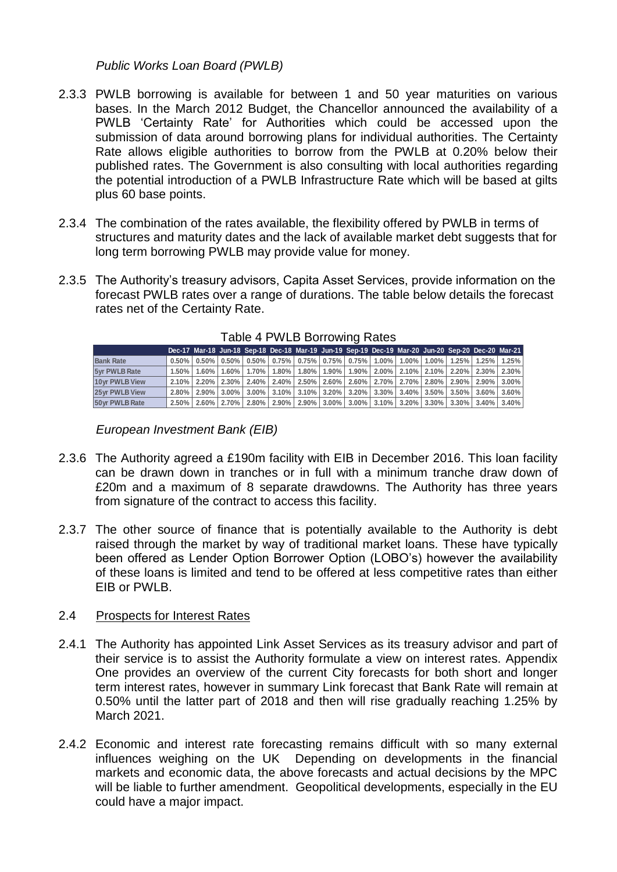*Public Works Loan Board (PWLB)*

- 2.3.3 PWLB borrowing is available for between 1 and 50 year maturities on various bases. In the March 2012 Budget, the Chancellor announced the availability of a PWLB 'Certainty Rate' for Authorities which could be accessed upon the submission of data around borrowing plans for individual authorities. The Certainty Rate allows eligible authorities to borrow from the PWLB at 0.20% below their published rates. The Government is also consulting with local authorities regarding the potential introduction of a PWLB Infrastructure Rate which will be based at gilts plus 60 base points.
- 2.3.4 The combination of the rates available, the flexibility offered by PWLB in terms of structures and maturity dates and the lack of available market debt suggests that for long term borrowing PWLB may provide value for money.
- 2.3.5 The Authority's treasury advisors, Capita Asset Services, provide information on the forecast PWLB rates over a range of durations. The table below details the forecast rates net of the Certainty Rate.

|                      |  |  |  |  |  |  | Dec-17 Mar-18 Jun-18 Sep-18 Dec-18 Mar-19 Jun-19 Sep-19 Dec-19 Mar-20 Jun-20 Sep-20 Dec-20 Mar-21                                            |  |
|----------------------|--|--|--|--|--|--|----------------------------------------------------------------------------------------------------------------------------------------------|--|
| <b>Bank Rate</b>     |  |  |  |  |  |  | $0.50\%$   0.50%   0.50%   0.50%   0.75%   0.75%   0.75%   0.75%   1.00%   1.00%   1.00%   1.25%   1.25%   1.25%                             |  |
| <b>5yr PWLB Rate</b> |  |  |  |  |  |  | $1.50\%$   1.60%   1.60%   1.70%   1.80%   1.80%   1.90%   1.90%   2.00%   2.10%   2.10%   2.20%   2.30%   2.30%                             |  |
| 10vr PWLB View       |  |  |  |  |  |  | $2.10\%$   2.20%   2.30%   2.40%   2.40%   2.50%   2.60%   2.60%   2.70%   2.70%   2.80%   2.90%   2.90%   3.00%                             |  |
| 25vr PWLB View       |  |  |  |  |  |  | $2.80\%$   2.90%   3.00%   3.00%   3.10%   3.10%   3.20%   3.20%   3.30%   3.40%   3.50%   3.50%   3.60%   3.60%   3.60%                     |  |
| 50yr PWLB Rate       |  |  |  |  |  |  | $2.50\%$   $2.60\%$   $2.70\%$   $2.80\%$   $2.90\%$   $2.90\%$   $3.00\%$   $3.10\%$   $3.20\%$   $3.30\%$   $3.30\%$   $3.40\%$   $3.40\%$ |  |

Table 4 PWLB Borrowing Rates

*European Investment Bank (EIB)*

- 2.3.6 The Authority agreed a £190m facility with EIB in December 2016. This loan facility can be drawn down in tranches or in full with a minimum tranche draw down of £20m and a maximum of 8 separate drawdowns. The Authority has three years from signature of the contract to access this facility.
- 2.3.7 The other source of finance that is potentially available to the Authority is debt raised through the market by way of traditional market loans. These have typically been offered as Lender Option Borrower Option (LOBO's) however the availability of these loans is limited and tend to be offered at less competitive rates than either EIB or PWLB.

### 2.4 Prospects for Interest Rates

- 2.4.1 The Authority has appointed Link Asset Services as its treasury advisor and part of their service is to assist the Authority formulate a view on interest rates. Appendix One provides an overview of the current City forecasts for both short and longer term interest rates, however in summary Link forecast that Bank Rate will remain at 0.50% until the latter part of 2018 and then will rise gradually reaching 1.25% by March 2021. **Examble 1981 (and 1991)** (and 1991) (and 1991) (and 1991) (and 1991) (and 1991) (and 1992) (and 1992) (and 1993) (and 1993) (and 1993) (and 1994) (and 1994) (and 1995) (and 1997) (and 1997) (and 1997) (and 1997) (and 1997
- 2.4.2 Economic and interest rate forecasting remains difficult with so many external influences weighing on the UK Depending on developments in the financial markets and economic data, the above forecasts and actual decisions by the MPC will be liable to further amendment. Geopolitical developments, especially in the EU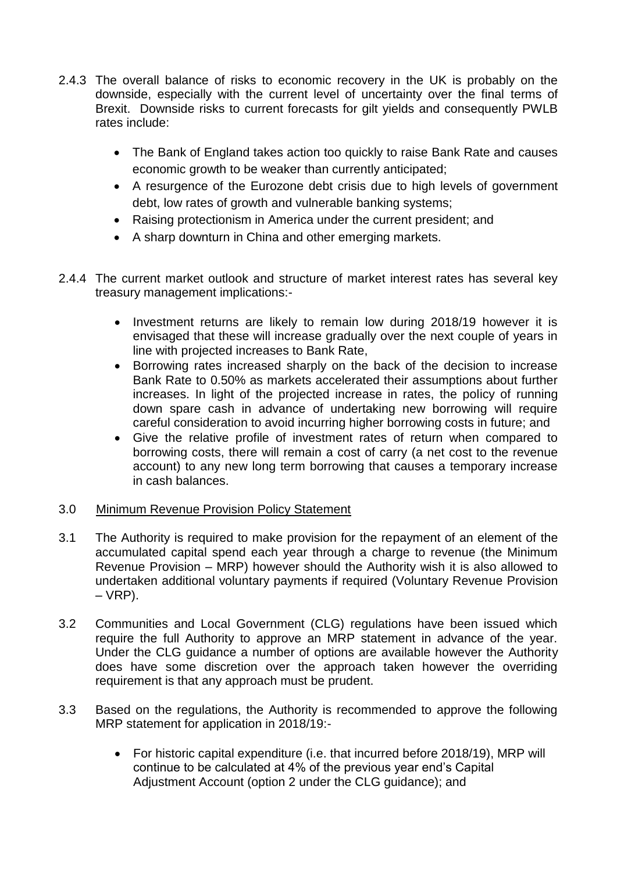- 2.4.3 The overall balance of risks to economic recovery in the UK is probably on the downside, especially with the current level of uncertainty over the final terms of Brexit. Downside risks to current forecasts for gilt yields and consequently PWLB rates include:
	- The Bank of England takes action too quickly to raise Bank Rate and causes economic growth to be weaker than currently anticipated;
	- A resurgence of the Eurozone debt crisis due to high levels of government debt, low rates of growth and vulnerable banking systems;
	- Raising protectionism in America under the current president; and
	- A sharp downturn in China and other emerging markets.
- 2.4.4 The current market outlook and structure of market interest rates has several key treasury management implications:-
	- Investment returns are likely to remain low during 2018/19 however it is envisaged that these will increase gradually over the next couple of years in line with projected increases to Bank Rate,
	- Borrowing rates increased sharply on the back of the decision to increase Bank Rate to 0.50% as markets accelerated their assumptions about further increases. In light of the projected increase in rates, the policy of running down spare cash in advance of undertaking new borrowing will require careful consideration to avoid incurring higher borrowing costs in future; and
	- Give the relative profile of investment rates of return when compared to borrowing costs, there will remain a cost of carry (a net cost to the revenue account) to any new long term borrowing that causes a temporary increase in cash balances.

### 3.0 Minimum Revenue Provision Policy Statement

- 3.1 The Authority is required to make provision for the repayment of an element of the accumulated capital spend each year through a charge to revenue (the Minimum Revenue Provision – MRP) however should the Authority wish it is also allowed to undertaken additional voluntary payments if required (Voluntary Revenue Provision  $-VRP$ ).
- 3.2 Communities and Local Government (CLG) regulations have been issued which require the full Authority to approve an MRP statement in advance of the year. Under the CLG guidance a number of options are available however the Authority does have some discretion over the approach taken however the overriding requirement is that any approach must be prudent.
- 3.3 Based on the regulations, the Authority is recommended to approve the following MRP statement for application in 2018/19:-
	- For historic capital expenditure (i.e. that incurred before 2018/19), MRP will continue to be calculated at 4% of the previous year end's Capital Adjustment Account (option 2 under the CLG guidance); and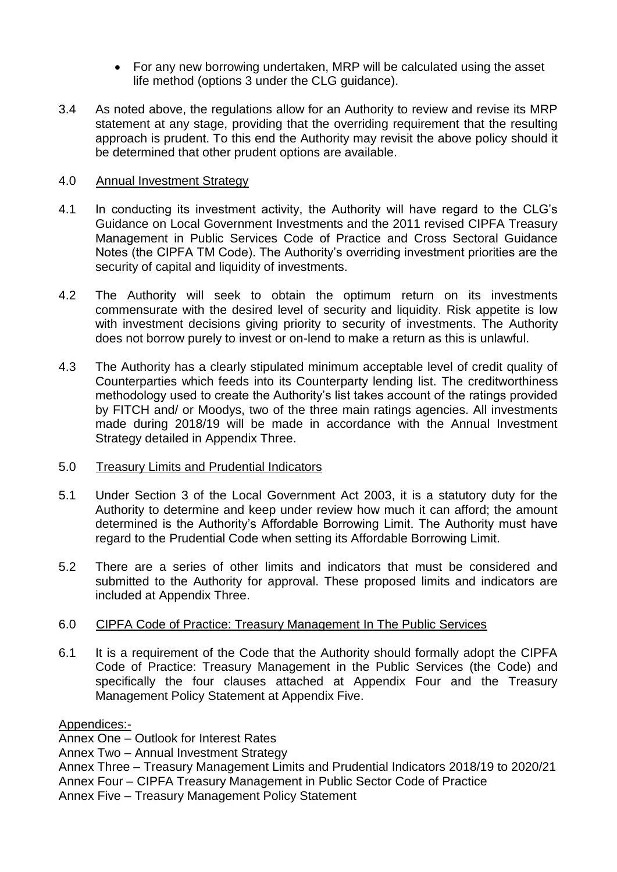- For any new borrowing undertaken, MRP will be calculated using the asset life method (options 3 under the CLG guidance).
- 3.4 As noted above, the regulations allow for an Authority to review and revise its MRP statement at any stage, providing that the overriding requirement that the resulting approach is prudent. To this end the Authority may revisit the above policy should it be determined that other prudent options are available.

### 4.0 Annual Investment Strategy

- 4.1 In conducting its investment activity, the Authority will have regard to the CLG's Guidance on Local Government Investments and the 2011 revised CIPFA Treasury Management in Public Services Code of Practice and Cross Sectoral Guidance Notes (the CIPFA TM Code). The Authority's overriding investment priorities are the security of capital and liquidity of investments.
- 4.2 The Authority will seek to obtain the optimum return on its investments commensurate with the desired level of security and liquidity. Risk appetite is low with investment decisions giving priority to security of investments. The Authority does not borrow purely to invest or on-lend to make a return as this is unlawful.
- 4.3 The Authority has a clearly stipulated minimum acceptable level of credit quality of Counterparties which feeds into its Counterparty lending list. The creditworthiness methodology used to create the Authority's list takes account of the ratings provided by FITCH and/ or Moodys, two of the three main ratings agencies. All investments made during 2018/19 will be made in accordance with the Annual Investment Strategy detailed in Appendix Three.
- 5.0 Treasury Limits and Prudential Indicators
- 5.1 Under Section 3 of the Local Government Act 2003, it is a statutory duty for the Authority to determine and keep under review how much it can afford; the amount determined is the Authority's Affordable Borrowing Limit. The Authority must have regard to the Prudential Code when setting its Affordable Borrowing Limit.
- 5.2 There are a series of other limits and indicators that must be considered and submitted to the Authority for approval. These proposed limits and indicators are included at Appendix Three.

### 6.0 CIPFA Code of Practice: Treasury Management In The Public Services

6.1 It is a requirement of the Code that the Authority should formally adopt the CIPFA Code of Practice: Treasury Management in the Public Services (the Code) and specifically the four clauses attached at Appendix Four and the Treasury Management Policy Statement at Appendix Five.

Appendices:-

Annex One – Outlook for Interest Rates

Annex Two – Annual Investment Strategy

- Annex Three Treasury Management Limits and Prudential Indicators 2018/19 to 2020/21
- Annex Four CIPFA Treasury Management in Public Sector Code of Practice
- Annex Five Treasury Management Policy Statement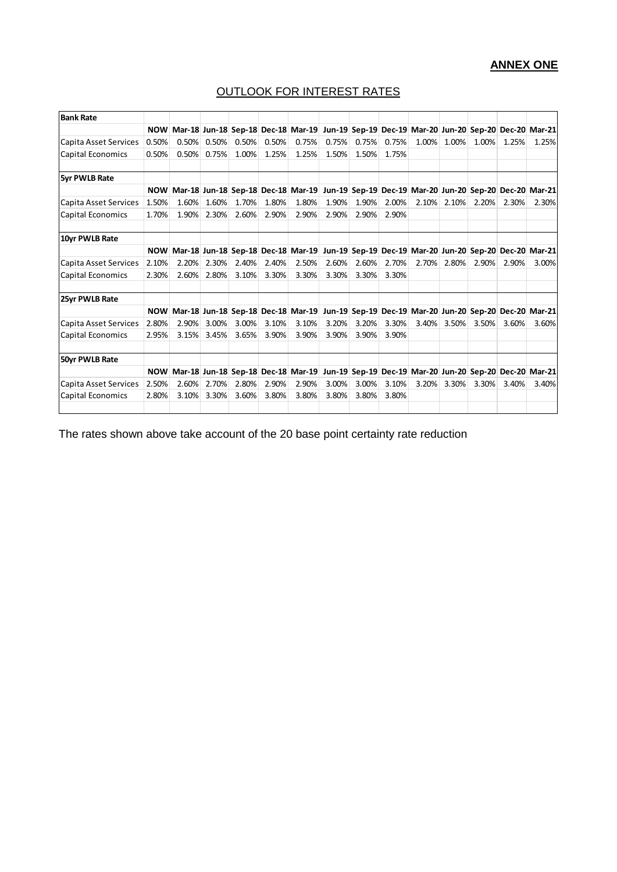# **ANNEX ONE**

# OUTLOOK FOR INTEREST RATES

| <b>Bank Rate</b>         |       |       |       |       |       |                                        |       |       |       |       |       |       |       |                                                                                                |
|--------------------------|-------|-------|-------|-------|-------|----------------------------------------|-------|-------|-------|-------|-------|-------|-------|------------------------------------------------------------------------------------------------|
|                          |       |       |       |       |       |                                        |       |       |       |       |       |       |       | NOW Mar-18 Jun-18 Sep-18 Dec-18 Mar-19 Jun-19 Sep-19 Dec-19 Mar-20 Jun-20 Sep-20 Dec-20 Mar-21 |
| Capita Asset Services    | 0.50% | 0.50% | 0.50% | 0.50% | 0.50% | 0.75%                                  | 0.75% | 0.75% | 0.75% | 1.00% | 1.00% | 1.00% | 1.25% | 1.25%                                                                                          |
| <b>Capital Economics</b> | 0.50% | 0.50% | 0.75% | 1.00% | 1.25% | 1.25%                                  | 1.50% | 1.50% | 1.75% |       |       |       |       |                                                                                                |
| <b>5yr PWLB Rate</b>     |       |       |       |       |       |                                        |       |       |       |       |       |       |       |                                                                                                |
|                          |       |       |       |       |       |                                        |       |       |       |       |       |       |       | NOW Mar-18 Jun-18 Sep-18 Dec-18 Mar-19 Jun-19 Sep-19 Dec-19 Mar-20 Jun-20 Sep-20 Dec-20 Mar-21 |
| Capita Asset Services    | 1.50% | 1.60% | 1.60% | 1.70% | 1.80% | 1.80%                                  | 1.90% | 1.90% | 2.00% | 2.10% | 2.10% | 2.20% | 2.30% | 2.30%                                                                                          |
| Capital Economics        | 1.70% | 1.90% | 2.30% | 2.60% | 2.90% | 2.90%                                  | 2.90% | 2.90% | 2.90% |       |       |       |       |                                                                                                |
| 10yr PWLB Rate           |       |       |       |       |       |                                        |       |       |       |       |       |       |       |                                                                                                |
|                          |       |       |       |       |       |                                        |       |       |       |       |       |       |       | NOW Mar-18 Jun-18 Sep-18 Dec-18 Mar-19 Jun-19 Sep-19 Dec-19 Mar-20 Jun-20 Sep-20 Dec-20 Mar-21 |
| Capita Asset Services    | 2.10% | 2.20% | 2.30% | 2.40% | 2.40% | 2.50%                                  | 2.60% | 2.60% | 2.70% | 2.70% | 2.80% | 2.90% | 2.90% | 3.00%                                                                                          |
| <b>Capital Economics</b> | 2.30% | 2.60% | 2.80% | 3.10% | 3.30% | 3.30%                                  | 3.30% | 3.30% | 3.30% |       |       |       |       |                                                                                                |
| 25yr PWLB Rate           |       |       |       |       |       |                                        |       |       |       |       |       |       |       |                                                                                                |
|                          |       |       |       |       |       | NOW Mar-18 Jun-18 Sep-18 Dec-18 Mar-19 |       |       |       |       |       |       |       | Jun-19 Sep-19 Dec-19 Mar-20 Jun-20 Sep-20 Dec-20 Mar-21                                        |
| Capita Asset Services    | 2.80% | 2.90% | 3.00% | 3.00% | 3.10% | 3.10%                                  | 3.20% | 3.20% | 3.30% | 3.40% | 3.50% | 3.50% | 3.60% | 3.60%                                                                                          |
| <b>Capital Economics</b> | 2.95% | 3.15% | 3.45% | 3.65% | 3.90% | 3.90%                                  | 3.90% | 3.90% | 3.90% |       |       |       |       |                                                                                                |
| 50yr PWLB Rate           |       |       |       |       |       |                                        |       |       |       |       |       |       |       |                                                                                                |
|                          |       |       |       |       |       |                                        |       |       |       |       |       |       |       | NOW Mar-18 Jun-18 Sep-18 Dec-18 Mar-19 Jun-19 Sep-19 Dec-19 Mar-20 Jun-20 Sep-20 Dec-20 Mar-21 |
| Capita Asset Services    | 2.50% | 2.60% | 2.70% | 2.80% | 2.90% | 2.90%                                  | 3.00% | 3.00% | 3.10% | 3.20% | 3.30% | 3.30% | 3.40% | 3.40%                                                                                          |
| Capital Economics        | 2.80% | 3.10% | 3.30% | 3.60% | 3.80% | 3.80%                                  | 3.80% | 3.80% | 3.80% |       |       |       |       |                                                                                                |

The rates shown above take account of the 20 base point certainty rate reduction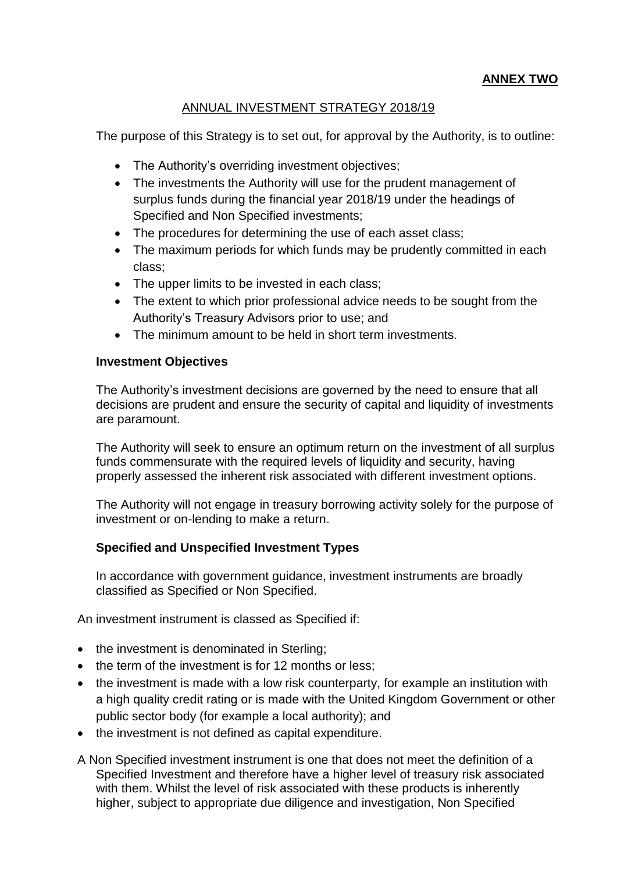# **ANNEX TWO**

### ANNUAL INVESTMENT STRATEGY 2018/19

The purpose of this Strategy is to set out, for approval by the Authority, is to outline:

- The Authority's overriding investment objectives;
- The investments the Authority will use for the prudent management of surplus funds during the financial year 2018/19 under the headings of Specified and Non Specified investments;
- The procedures for determining the use of each asset class;
- The maximum periods for which funds may be prudently committed in each class;
- The upper limits to be invested in each class;
- The extent to which prior professional advice needs to be sought from the Authority's Treasury Advisors prior to use; and
- The minimum amount to be held in short term investments.

#### **Investment Objectives**

The Authority's investment decisions are governed by the need to ensure that all decisions are prudent and ensure the security of capital and liquidity of investments are paramount.

The Authority will seek to ensure an optimum return on the investment of all surplus funds commensurate with the required levels of liquidity and security, having properly assessed the inherent risk associated with different investment options.

The Authority will not engage in treasury borrowing activity solely for the purpose of investment or on-lending to make a return.

### **Specified and Unspecified Investment Types**

In accordance with government guidance, investment instruments are broadly classified as Specified or Non Specified.

An investment instrument is classed as Specified if:

- the investment is denominated in Sterling;
- the term of the investment is for 12 months or less;
- the investment is made with a low risk counterparty, for example an institution with a high quality credit rating or is made with the United Kingdom Government or other public sector body (for example a local authority); and
- the investment is not defined as capital expenditure.
- A Non Specified investment instrument is one that does not meet the definition of a Specified Investment and therefore have a higher level of treasury risk associated with them. Whilst the level of risk associated with these products is inherently higher, subject to appropriate due diligence and investigation, Non Specified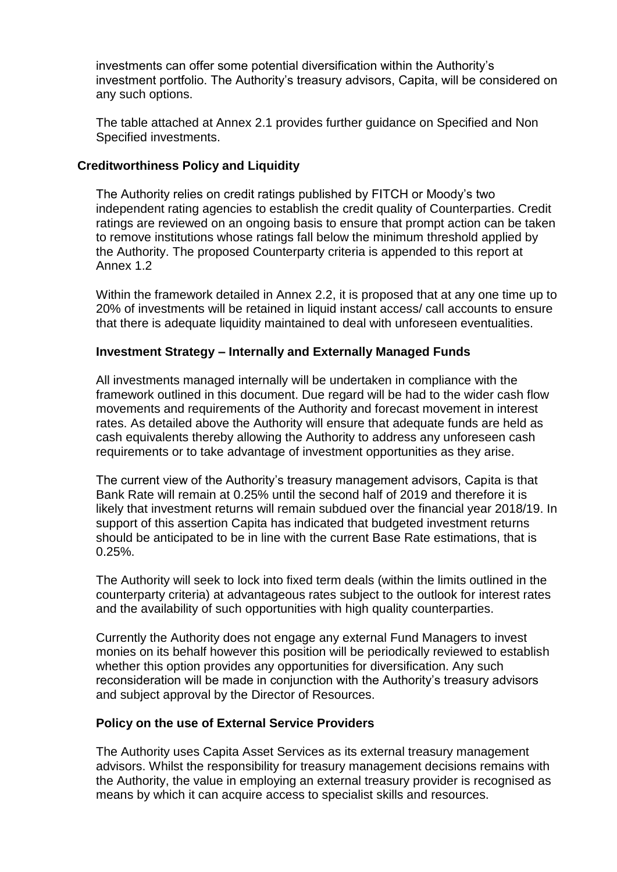investments can offer some potential diversification within the Authority's investment portfolio. The Authority's treasury advisors, Capita, will be considered on any such options.

The table attached at Annex 2.1 provides further guidance on Specified and Non Specified investments.

### **Creditworthiness Policy and Liquidity**

The Authority relies on credit ratings published by FITCH or Moody's two independent rating agencies to establish the credit quality of Counterparties. Credit ratings are reviewed on an ongoing basis to ensure that prompt action can be taken to remove institutions whose ratings fall below the minimum threshold applied by the Authority. The proposed Counterparty criteria is appended to this report at Annex 1.2

Within the framework detailed in Annex 2.2, it is proposed that at any one time up to 20% of investments will be retained in liquid instant access/ call accounts to ensure that there is adequate liquidity maintained to deal with unforeseen eventualities.

### **Investment Strategy – Internally and Externally Managed Funds**

All investments managed internally will be undertaken in compliance with the framework outlined in this document. Due regard will be had to the wider cash flow movements and requirements of the Authority and forecast movement in interest rates. As detailed above the Authority will ensure that adequate funds are held as cash equivalents thereby allowing the Authority to address any unforeseen cash requirements or to take advantage of investment opportunities as they arise.

The current view of the Authority's treasury management advisors, Capita is that Bank Rate will remain at 0.25% until the second half of 2019 and therefore it is likely that investment returns will remain subdued over the financial year 2018/19. In support of this assertion Capita has indicated that budgeted investment returns should be anticipated to be in line with the current Base Rate estimations, that is 0.25%.

The Authority will seek to lock into fixed term deals (within the limits outlined in the counterparty criteria) at advantageous rates subject to the outlook for interest rates and the availability of such opportunities with high quality counterparties.

Currently the Authority does not engage any external Fund Managers to invest monies on its behalf however this position will be periodically reviewed to establish whether this option provides any opportunities for diversification. Any such reconsideration will be made in conjunction with the Authority's treasury advisors and subject approval by the Director of Resources.

### **Policy on the use of External Service Providers**

The Authority uses Capita Asset Services as its external treasury management advisors. Whilst the responsibility for treasury management decisions remains with the Authority, the value in employing an external treasury provider is recognised as means by which it can acquire access to specialist skills and resources.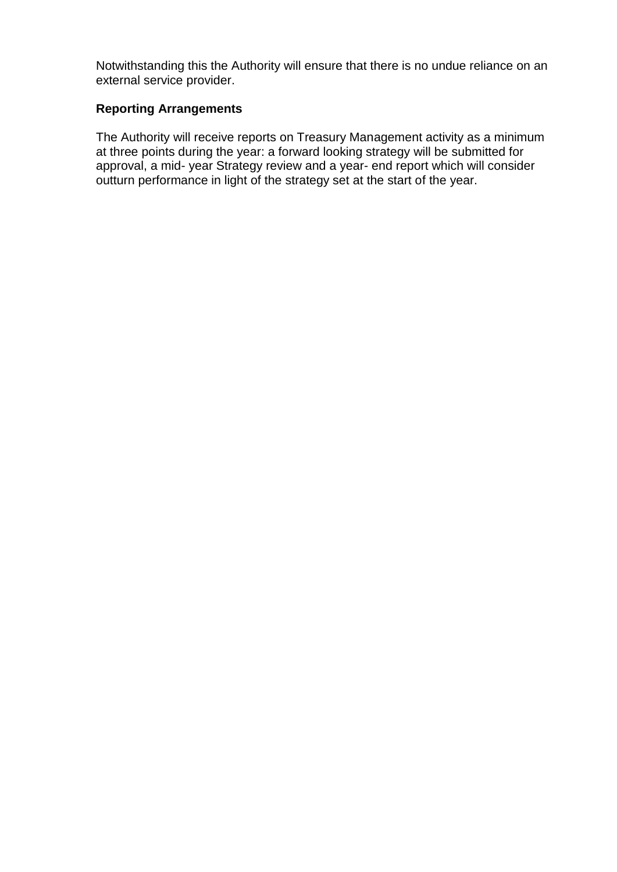Notwithstanding this the Authority will ensure that there is no undue reliance on an external service provider.

# **Reporting Arrangements**

The Authority will receive reports on Treasury Management activity as a minimum at three points during the year: a forward looking strategy will be submitted for approval, a mid- year Strategy review and a year- end report which will consider outturn performance in light of the strategy set at the start of the year.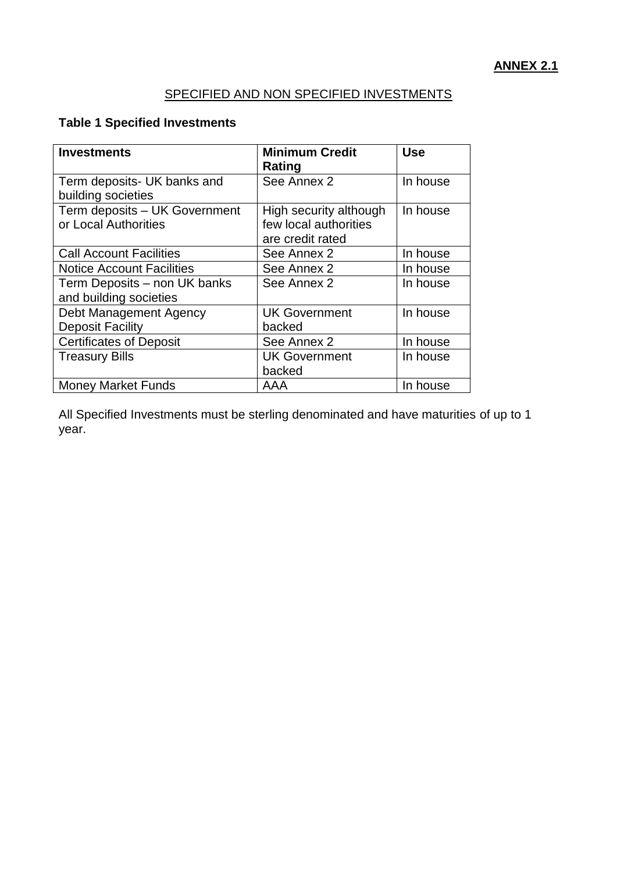# SPECIFIED AND NON SPECIFIED INVESTMENTS

# **Table 1 Specified Investments**

| <b>Investments</b>                                     | <b>Minimum Credit</b><br>Rating                                     | <b>Use</b> |
|--------------------------------------------------------|---------------------------------------------------------------------|------------|
| Term deposits- UK banks and<br>building societies      | See Annex 2                                                         | In house   |
| Term deposits - UK Government<br>or Local Authorities  | High security although<br>few local authorities<br>are credit rated | In house   |
| <b>Call Account Facilities</b>                         | See Annex 2                                                         | In house   |
| <b>Notice Account Facilities</b>                       | See Annex 2                                                         | In house   |
| Term Deposits - non UK banks<br>and building societies | See Annex 2                                                         | In house   |
| Debt Management Agency<br><b>Deposit Facility</b>      | <b>UK Government</b><br>backed                                      | In house   |
| <b>Certificates of Deposit</b>                         | See Annex 2                                                         | In house   |
| <b>Treasury Bills</b>                                  | <b>UK Government</b><br>backed                                      | In house   |
| <b>Money Market Funds</b>                              | AAA                                                                 | In house   |

All Specified Investments must be sterling denominated and have maturities of up to 1 year.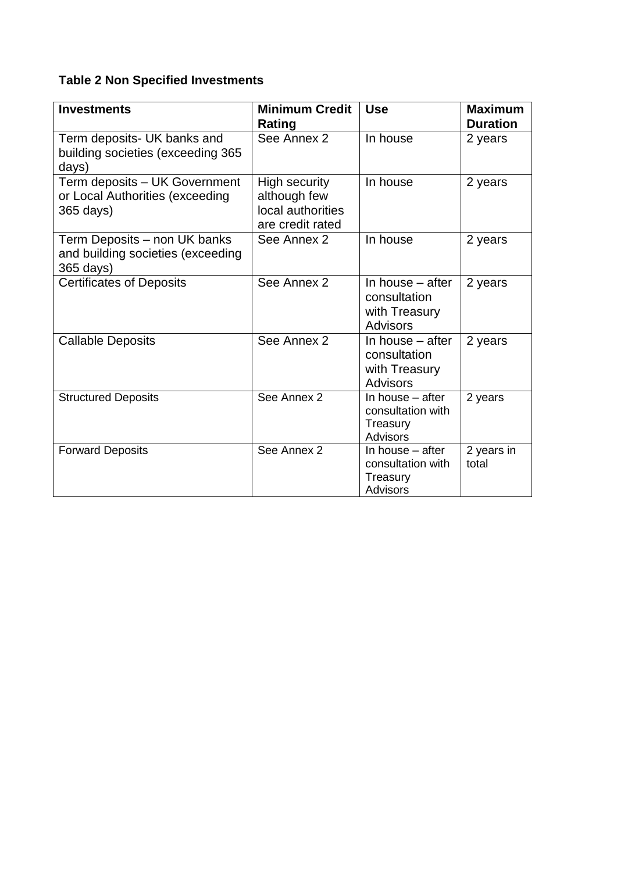# **Table 2 Non Specified Investments**

| <b>Investments</b>                                                             | <b>Minimum Credit</b><br>Rating                                               | <b>Use</b>                                                             | <b>Maximum</b><br><b>Duration</b> |
|--------------------------------------------------------------------------------|-------------------------------------------------------------------------------|------------------------------------------------------------------------|-----------------------------------|
| Term deposits- UK banks and<br>building societies (exceeding 365<br>days)      | See Annex 2                                                                   | In house                                                               | 2 years                           |
| Term deposits - UK Government<br>or Local Authorities (exceeding<br>365 days)  | <b>High security</b><br>although few<br>local authorities<br>are credit rated | In house                                                               | 2 years                           |
| Term Deposits - non UK banks<br>and building societies (exceeding<br>365 days) | See Annex 2                                                                   | In house                                                               | 2 years                           |
| <b>Certificates of Deposits</b>                                                | See Annex 2                                                                   | In house – after<br>consultation<br>with Treasury<br><b>Advisors</b>   | 2 years                           |
| <b>Callable Deposits</b>                                                       | See Annex 2                                                                   | In house $-$ after<br>consultation<br>with Treasury<br><b>Advisors</b> | 2 years                           |
| <b>Structured Deposits</b>                                                     | See Annex 2                                                                   | In house - after<br>consultation with<br>Treasury<br><b>Advisors</b>   | 2 years                           |
| <b>Forward Deposits</b>                                                        | See Annex 2                                                                   | In house – after<br>consultation with<br>Treasury<br>Advisors          | 2 years in<br>total               |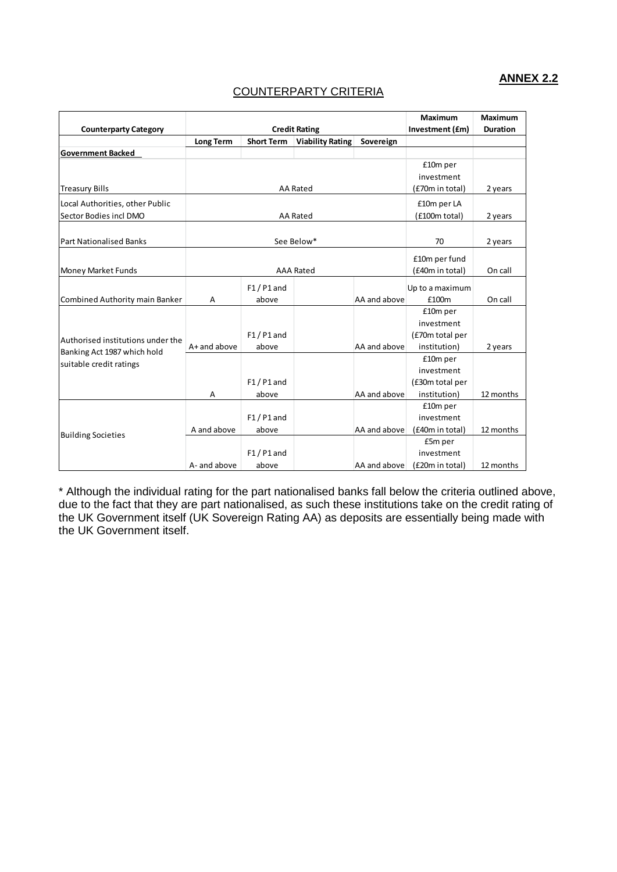### **ANNEX 2.2**

#### COUNTERPARTY CRITERIA

| <b>Counterparty Category</b>                           |                  | <b>Credit Rating</b> | Maximum<br>Investment (£m) | <b>Maximum</b><br><b>Duration</b> |                 |           |
|--------------------------------------------------------|------------------|----------------------|----------------------------|-----------------------------------|-----------------|-----------|
|                                                        | <b>Long Term</b> | <b>Short Term</b>    | <b>Viability Rating</b>    | Sovereign                         |                 |           |
| <b>Government Backed</b>                               |                  |                      |                            |                                   |                 |           |
|                                                        |                  |                      |                            |                                   | £10m per        |           |
|                                                        |                  |                      |                            |                                   | investment      |           |
| <b>Treasury Bills</b>                                  |                  |                      | <b>AA Rated</b>            |                                   | (£70m in total) | 2 years   |
| Local Authorities, other Public                        |                  |                      |                            |                                   | £10m per LA     |           |
| Sector Bodies incl DMO                                 |                  |                      | AA Rated                   |                                   | (£100m total)   | 2 years   |
|                                                        |                  |                      |                            |                                   |                 |           |
| <b>Part Nationalised Banks</b>                         |                  |                      | See Below*                 |                                   | 70              | 2 years   |
|                                                        |                  |                      |                            |                                   | £10m per fund   |           |
| Money Market Funds                                     | <b>AAA Rated</b> |                      | (£40m in total)            | On call                           |                 |           |
|                                                        |                  | $F1/P1$ and          |                            |                                   | Up to a maximum |           |
| Combined Authority main Banker                         | Α                | above                |                            | AA and above                      | £100m           | On call   |
|                                                        |                  |                      |                            |                                   | £10m per        |           |
|                                                        |                  |                      |                            |                                   | investment      |           |
|                                                        |                  | $F1/P1$ and          |                            |                                   | (£70m total per |           |
| Authorised institutions under the                      | $A+$ and above   | above                |                            | AA and above                      | institution)    | 2 years   |
| Banking Act 1987 which hold<br>suitable credit ratings |                  |                      |                            |                                   | £10m per        |           |
|                                                        |                  |                      |                            |                                   | investment      |           |
|                                                        |                  | $F1/P1$ and          |                            |                                   | (£30m total per |           |
|                                                        | A                | above                |                            | AA and above                      | institution)    | 12 months |
|                                                        |                  |                      |                            |                                   | £10m per        |           |
|                                                        |                  | $F1/P1$ and          |                            |                                   | investment      |           |
| <b>Building Societies</b>                              | A and above      | above                |                            | AA and above                      | (£40m in total) | 12 months |
|                                                        |                  |                      |                            |                                   | £5m per         |           |
|                                                        |                  | $F1/P1$ and          |                            |                                   | investment      |           |
|                                                        | A- and above     | above                |                            | AA and above                      | (£20m in total) | 12 months |

\* Although the individual rating for the part nationalised banks fall below the criteria outlined above, due to the fact that they are part nationalised, as such these institutions take on the credit rating of the UK Government itself (UK Sovereign Rating AA) as deposits are essentially being made with the UK Government itself.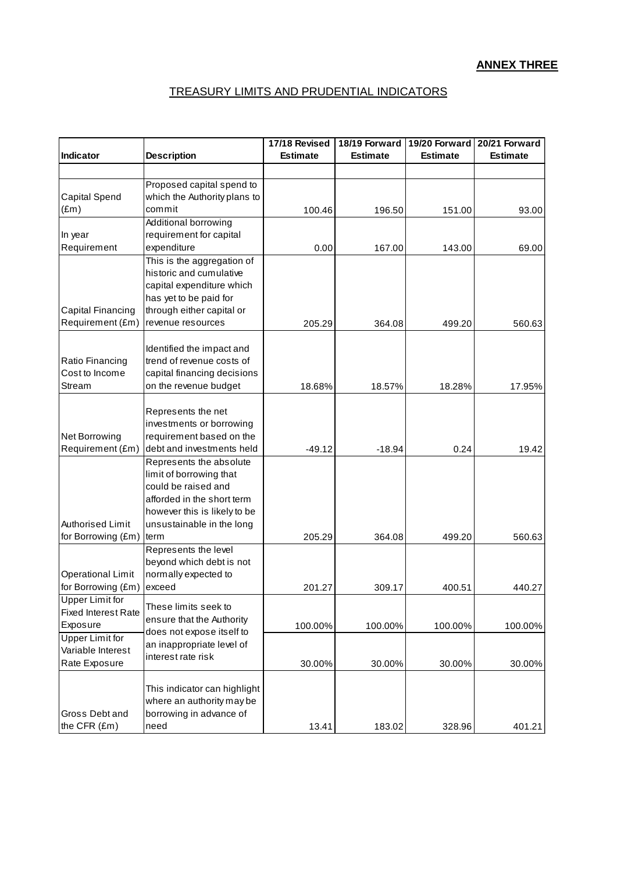# TREASURY LIMITS AND PRUDENTIAL INDICATORS

| Indicator                                   | <b>Description</b>                                     | 17/18 Revised<br><b>Estimate</b> | 18/19 Forward<br><b>Estimate</b> | 19/20 Forward<br><b>Estimate</b> | 20/21 Forward<br><b>Estimate</b> |
|---------------------------------------------|--------------------------------------------------------|----------------------------------|----------------------------------|----------------------------------|----------------------------------|
|                                             |                                                        |                                  |                                  |                                  |                                  |
|                                             | Proposed capital spend to                              |                                  |                                  |                                  |                                  |
| <b>Capital Spend</b>                        | which the Authority plans to                           |                                  |                                  |                                  |                                  |
| $(\text{Em})$                               | commit                                                 | 100.46                           | 196.50                           | 151.00                           | 93.00                            |
|                                             | Additional borrowing                                   |                                  |                                  |                                  |                                  |
| In year<br>Requirement                      | requirement for capital<br>expenditure                 |                                  |                                  |                                  |                                  |
|                                             | This is the aggregation of                             | 0.00                             | 167.00                           | 143.00                           | 69.00                            |
|                                             | historic and cumulative                                |                                  |                                  |                                  |                                  |
|                                             | capital expenditure which                              |                                  |                                  |                                  |                                  |
|                                             | has yet to be paid for                                 |                                  |                                  |                                  |                                  |
| Capital Financing                           | through either capital or                              |                                  |                                  |                                  |                                  |
| Requirement (£m)                            | revenue resources                                      | 205.29                           | 364.08                           | 499.20                           | 560.63                           |
|                                             |                                                        |                                  |                                  |                                  |                                  |
| Ratio Financing                             | Identified the impact and<br>trend of revenue costs of |                                  |                                  |                                  |                                  |
| Cost to Income                              | capital financing decisions                            |                                  |                                  |                                  |                                  |
| Stream                                      | on the revenue budget                                  | 18.68%                           | 18.57%                           | 18.28%                           | 17.95%                           |
|                                             |                                                        |                                  |                                  |                                  |                                  |
|                                             | Represents the net                                     |                                  |                                  |                                  |                                  |
|                                             | investments or borrowing                               |                                  |                                  |                                  |                                  |
| Net Borrowing<br>Requirement (£m)           | requirement based on the<br>debt and investments held  |                                  |                                  |                                  |                                  |
|                                             | Represents the absolute                                | $-49.12$                         | $-18.94$                         | 0.24                             | 19.42                            |
|                                             | limit of borrowing that                                |                                  |                                  |                                  |                                  |
|                                             | could be raised and                                    |                                  |                                  |                                  |                                  |
|                                             | afforded in the short term                             |                                  |                                  |                                  |                                  |
|                                             | however this is likely to be                           |                                  |                                  |                                  |                                  |
| Authorised Limit                            | unsustainable in the long                              |                                  |                                  |                                  |                                  |
| for Borrowing (£m)                          | term<br>Represents the level                           | 205.29                           | 364.08                           | 499.20                           | 560.63                           |
|                                             | beyond which debt is not                               |                                  |                                  |                                  |                                  |
| <b>Operational Limit</b>                    | normally expected to                                   |                                  |                                  |                                  |                                  |
| for Borrowing (£m)                          | exceed                                                 | 201.27                           | 309.17                           | 400.51                           | 440.27                           |
| <b>Upper Limit for</b>                      | These limits seek to                                   |                                  |                                  |                                  |                                  |
| <b>Fixed Interest Rate</b>                  | ensure that the Authority                              |                                  |                                  |                                  |                                  |
| Exposure                                    | does not expose itself to                              | 100.00%                          | 100.00%                          | 100.00%                          | 100.00%                          |
| <b>Upper Limit for</b><br>Variable Interest | an inappropriate level of                              |                                  |                                  |                                  |                                  |
| Rate Exposure                               | interest rate risk                                     | 30.00%                           | 30.00%                           | 30.00%                           | 30.00%                           |
|                                             |                                                        |                                  |                                  |                                  |                                  |
|                                             | This indicator can highlight                           |                                  |                                  |                                  |                                  |
|                                             | where an authority may be                              |                                  |                                  |                                  |                                  |
| Gross Debt and                              | borrowing in advance of                                |                                  |                                  |                                  |                                  |
| the CFR (£m)                                | need                                                   | 13.41                            | 183.02                           | 328.96                           | 401.21                           |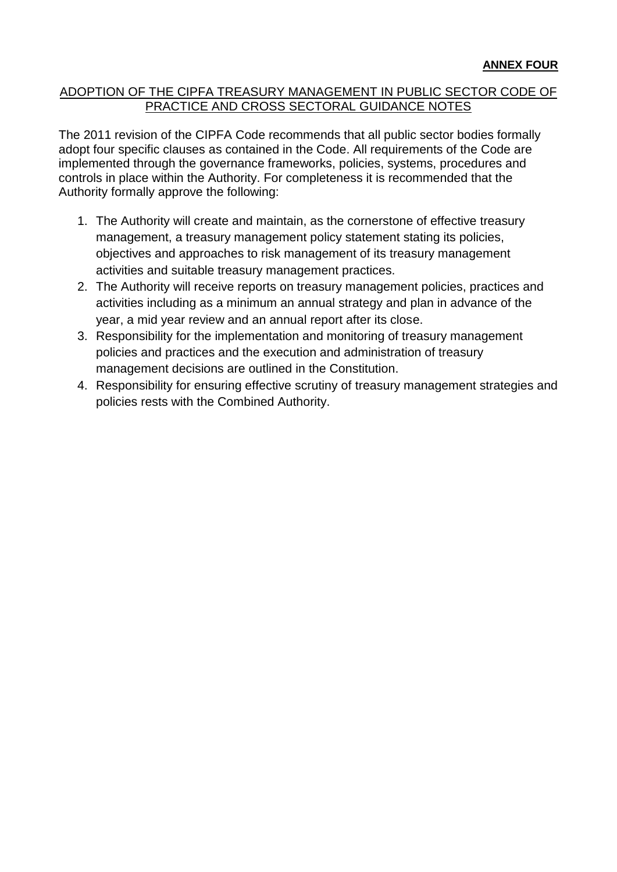# ADOPTION OF THE CIPFA TREASURY MANAGEMENT IN PUBLIC SECTOR CODE OF PRACTICE AND CROSS SECTORAL GUIDANCE NOTES

The 2011 revision of the CIPFA Code recommends that all public sector bodies formally adopt four specific clauses as contained in the Code. All requirements of the Code are implemented through the governance frameworks, policies, systems, procedures and controls in place within the Authority. For completeness it is recommended that the Authority formally approve the following:

- 1. The Authority will create and maintain, as the cornerstone of effective treasury management, a treasury management policy statement stating its policies, objectives and approaches to risk management of its treasury management activities and suitable treasury management practices.
- 2. The Authority will receive reports on treasury management policies, practices and activities including as a minimum an annual strategy and plan in advance of the year, a mid year review and an annual report after its close.
- 3. Responsibility for the implementation and monitoring of treasury management policies and practices and the execution and administration of treasury management decisions are outlined in the Constitution.
- 4. Responsibility for ensuring effective scrutiny of treasury management strategies and policies rests with the Combined Authority.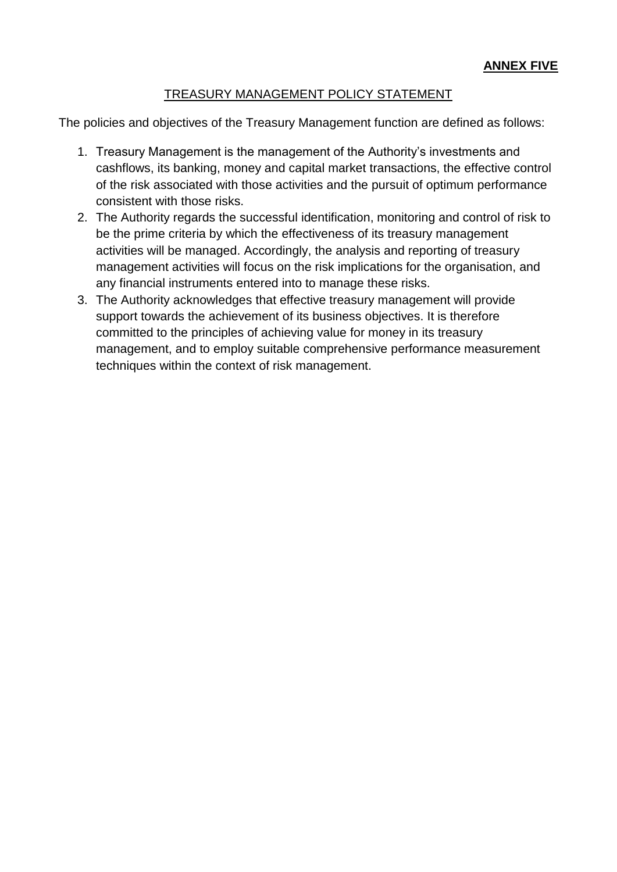# TREASURY MANAGEMENT POLICY STATEMENT

The policies and objectives of the Treasury Management function are defined as follows:

- 1. Treasury Management is the management of the Authority's investments and cashflows, its banking, money and capital market transactions, the effective control of the risk associated with those activities and the pursuit of optimum performance consistent with those risks.
- 2. The Authority regards the successful identification, monitoring and control of risk to be the prime criteria by which the effectiveness of its treasury management activities will be managed. Accordingly, the analysis and reporting of treasury management activities will focus on the risk implications for the organisation, and any financial instruments entered into to manage these risks.
- 3. The Authority acknowledges that effective treasury management will provide support towards the achievement of its business objectives. It is therefore committed to the principles of achieving value for money in its treasury management, and to employ suitable comprehensive performance measurement techniques within the context of risk management.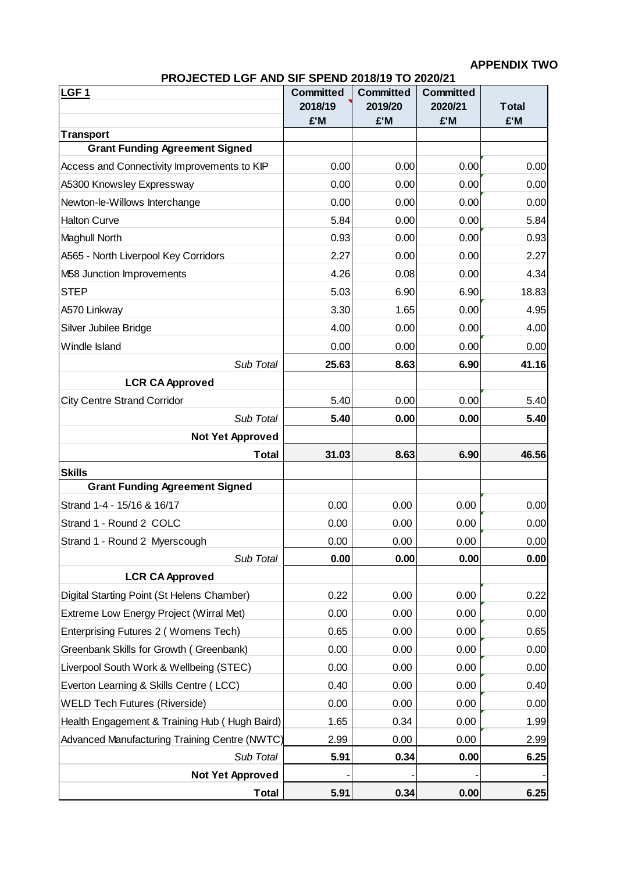# **APPENDIX TWO**

| <b>PROJECTED LGF AND SIF SPEND 2018/19 TO 2020/21</b> |                                   |  |
|-------------------------------------------------------|-----------------------------------|--|
|                                                       | Committed   Committed   Committed |  |

| LGF <sub>1</sub>                              | <b>Committed</b><br>2018/19<br>£'M | <b>Committed</b><br>2019/20<br>£'M | <b>Committed</b><br>2020/21<br>£'M | <b>Total</b><br>£'M |
|-----------------------------------------------|------------------------------------|------------------------------------|------------------------------------|---------------------|
| <b>Transport</b>                              |                                    |                                    |                                    |                     |
| <b>Grant Funding Agreement Signed</b>         |                                    |                                    |                                    |                     |
| Access and Connectivity Improvements to KIP   | 0.00                               | 0.00                               | 0.00                               | 0.00                |
| A5300 Knowsley Expressway                     | 0.00                               | 0.00                               | 0.00                               | 0.00                |
| Newton-le-Willows Interchange                 | 0.00                               | 0.00                               | 0.00                               | 0.00                |
| <b>Halton Curve</b>                           | 5.84                               | 0.00                               | 0.00                               | 5.84                |
| Maghull North                                 | 0.93                               | 0.00                               | 0.00                               | 0.93                |
| A565 - North Liverpool Key Corridors          | 2.27                               | 0.00                               | 0.00                               | 2.27                |
| M58 Junction Improvements                     | 4.26                               | 0.08                               | 0.00                               | 4.34                |
| <b>STEP</b>                                   | 5.03                               | 6.90                               | 6.90                               | 18.83               |
| A570 Linkway                                  | 3.30                               | 1.65                               | 0.00                               | 4.95                |
| Silver Jubilee Bridge                         | 4.00                               | 0.00                               | 0.00                               | 4.00                |
| Windle Island                                 | 0.00                               | 0.00                               | 0.00                               | 0.00                |
| Sub Total                                     | 25.63                              | 8.63                               | 6.90                               | 41.16               |
| <b>LCR CA Approved</b>                        |                                    |                                    |                                    |                     |
| <b>City Centre Strand Corridor</b>            | 5.40                               | 0.00                               | 0.00                               | 5.40                |
| Sub Total                                     | 5.40                               | 0.00                               | 0.00                               | 5.40                |
| <b>Not Yet Approved</b>                       |                                    |                                    |                                    |                     |
| Total                                         | 31.03                              | 8.63                               | 6.90                               | 46.56               |
| <b>Skills</b>                                 |                                    |                                    |                                    |                     |
| <b>Grant Funding Agreement Signed</b>         |                                    |                                    |                                    |                     |
| Strand 1-4 - 15/16 & 16/17                    | 0.00                               | 0.00                               | 0.00                               | 0.00                |
| Strand 1 - Round 2 COLC                       | 0.00                               | 0.00                               | 0.00                               | 0.00                |
| Strand 1 - Round 2 Myerscough                 | 0.00                               | 0.00                               | 0.00                               | 0.00                |
| Sub Total                                     | 0.00                               | 0.00                               | 0.00                               | 0.00                |
| <b>LCR CA Approved</b>                        |                                    |                                    |                                    |                     |
| Digital Starting Point (St Helens Chamber)    | 0.22                               | 0.00                               | 0.00                               | 0.22                |
| Extreme Low Energy Project (Wirral Met)       | 0.00                               | 0.00                               | 0.00                               | 0.00                |
| Enterprising Futures 2 (Womens Tech)          | 0.65                               | 0.00                               | 0.00                               | 0.65                |
| Greenbank Skills for Growth (Greenbank)       | 0.00                               | 0.00                               | 0.00                               | 0.00                |
| Liverpool South Work & Wellbeing (STEC)       | 0.00                               | 0.00                               | 0.00                               | 0.00                |
| Everton Learning & Skills Centre (LCC)        | 0.40                               | 0.00                               | 0.00                               | 0.40                |
| <b>WELD Tech Futures (Riverside)</b>          | 0.00                               | 0.00                               | 0.00                               | 0.00                |
| Health Engagement & Training Hub (Hugh Baird) | 1.65                               | 0.34                               | 0.00                               | 1.99                |
| Advanced Manufacturing Training Centre (NWTC) | 2.99                               | 0.00                               | 0.00                               | 2.99                |
| Sub Total                                     | 5.91                               | 0.34                               | 0.00                               | 6.25                |
| <b>Not Yet Approved</b>                       |                                    |                                    |                                    |                     |
| <b>Total</b>                                  | 5.91                               | 0.34                               | 0.00                               | 6.25                |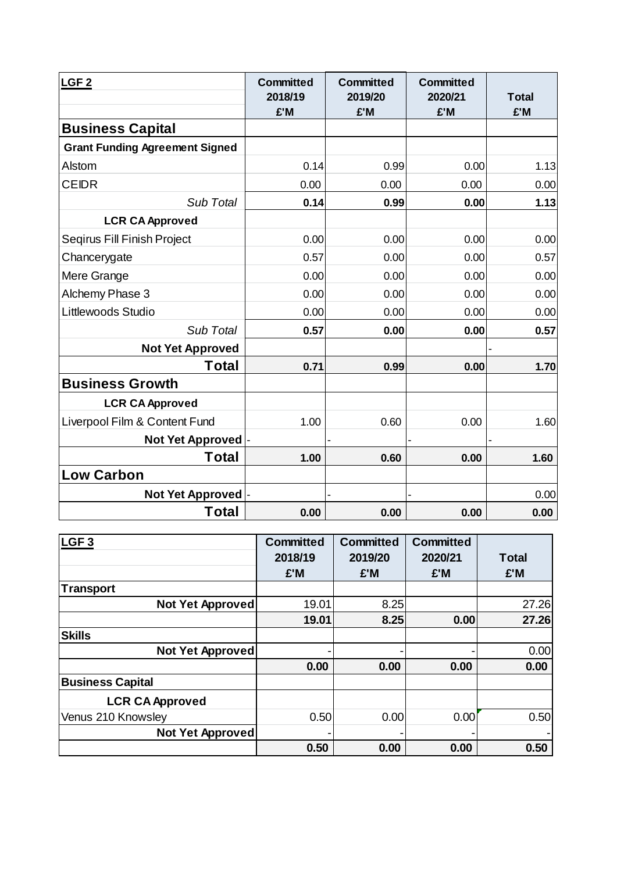| LGF <sub>2</sub>                      | <b>Committed</b><br>2018/19<br>£'M | <b>Committed</b><br>2019/20<br>£'M | <b>Committed</b><br>2020/21<br>£'M | <b>Total</b><br>£'M |
|---------------------------------------|------------------------------------|------------------------------------|------------------------------------|---------------------|
| <b>Business Capital</b>               |                                    |                                    |                                    |                     |
| <b>Grant Funding Agreement Signed</b> |                                    |                                    |                                    |                     |
| Alstom                                | 0.14                               | 0.99                               | 0.00                               | 1.13                |
| <b>CEIDR</b>                          | 0.00                               | 0.00                               | 0.00                               | 0.00                |
| Sub Total                             | 0.14                               | 0.99                               | 0.00                               | 1.13                |
| <b>LCR CA Approved</b>                |                                    |                                    |                                    |                     |
| Segirus Fill Finish Project           | 0.00                               | 0.00                               | 0.00                               | 0.00                |
| Chancerygate                          | 0.57                               | 0.00                               | 0.00                               | 0.57                |
| Mere Grange                           | 0.00                               | 0.00                               | 0.00                               | 0.00                |
| Alchemy Phase 3                       | 0.00                               | 0.00                               | 0.00                               | 0.00                |
| Littlewoods Studio                    | 0.00                               | 0.00                               | 0.00                               | 0.00                |
| Sub Total                             | 0.57                               | 0.00                               | 0.00                               | 0.57                |
| <b>Not Yet Approved</b>               |                                    |                                    |                                    |                     |
| Total                                 | 0.71                               | 0.99                               | 0.00                               | 1.70                |
| <b>Business Growth</b>                |                                    |                                    |                                    |                     |
| <b>LCR CA Approved</b>                |                                    |                                    |                                    |                     |
| Liverpool Film & Content Fund         | 1.00                               | 0.60                               | 0.00                               | 1.60                |
| Not Yet Approved                      |                                    |                                    |                                    |                     |
| Total                                 | 1.00                               | 0.60                               | 0.00                               | 1.60                |
| <b>Low Carbon</b>                     |                                    |                                    |                                    |                     |
| <b>Not Yet Approved</b>               |                                    |                                    |                                    | 0.00                |
| Total                                 | 0.00                               | 0.00                               | 0.00                               | 0.00                |

| LGF <sub>3</sub>        | <b>Committed</b> | <b>Committed</b> | <b>Committed</b> |              |
|-------------------------|------------------|------------------|------------------|--------------|
|                         | 2018/19          | 2019/20          | 2020/21          | <b>Total</b> |
|                         | £'M              | £'M              | £'M              | £'M          |
| <b>Transport</b>        |                  |                  |                  |              |
| Not Yet Approved        | 19.01            | 8.25             |                  | 27.26        |
|                         | 19.01            | 8.25             | 0.00             | 27.26        |
| <b>Skills</b>           |                  |                  |                  |              |
| Not Yet Approved        |                  |                  |                  | 0.00         |
|                         | 0.00             | 0.00             | 0.00             | 0.00         |
| <b>Business Capital</b> |                  |                  |                  |              |
| <b>LCR CA Approved</b>  |                  |                  |                  |              |
| Venus 210 Knowsley      | 0.50             | 0.00             | 0.00             | 0.50         |
| <b>Not Yet Approved</b> |                  |                  |                  |              |
|                         | 0.50             | 0.00             | 0.00             | 0.50         |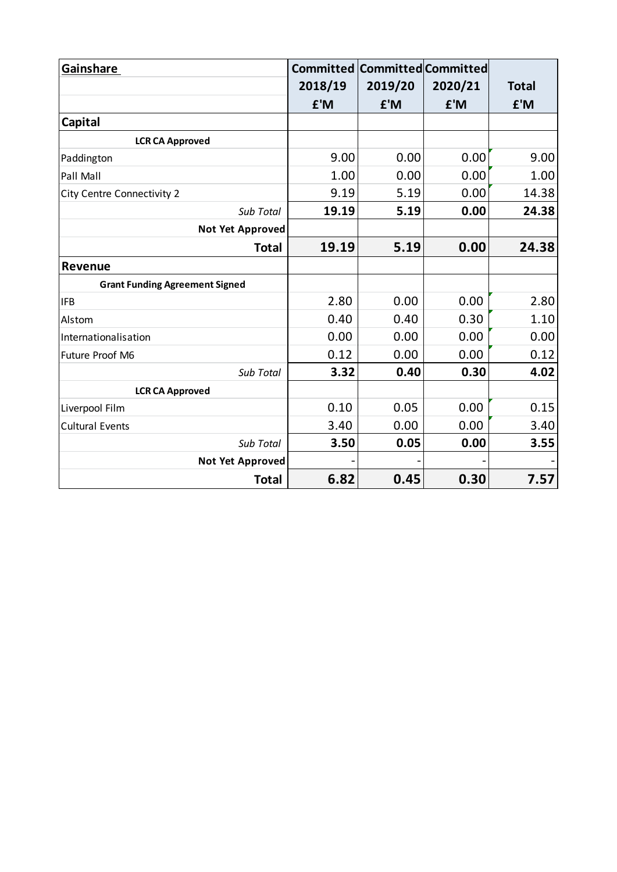| Gainshare                             |         | <b>Committed Committed Committed</b> |         |              |
|---------------------------------------|---------|--------------------------------------|---------|--------------|
|                                       | 2018/19 | 2019/20                              | 2020/21 | <b>Total</b> |
|                                       | £'M     | £'M                                  | £'M     | £'M          |
| Capital                               |         |                                      |         |              |
| <b>LCR CA Approved</b>                |         |                                      |         |              |
| Paddington                            | 9.00    | 0.00                                 | 0.00    | 9.00         |
| Pall Mall                             | 1.00    | 0.00                                 | 0.00    | 1.00         |
| <b>City Centre Connectivity 2</b>     | 9.19    | 5.19                                 | 0.00    | 14.38        |
| Sub Total                             | 19.19   | 5.19                                 | 0.00    | 24.38        |
| <b>Not Yet Approved</b>               |         |                                      |         |              |
| <b>Total</b>                          | 19.19   | 5.19                                 | 0.00    | 24.38        |
| <b>Revenue</b>                        |         |                                      |         |              |
| <b>Grant Funding Agreement Signed</b> |         |                                      |         |              |
| <b>IFB</b>                            | 2.80    | 0.00                                 | 0.00    | 2.80         |
| Alstom                                | 0.40    | 0.40                                 | 0.30    | 1.10         |
| Internationalisation                  | 0.00    | 0.00                                 | 0.00    | 0.00         |
| Future Proof M6                       | 0.12    | 0.00                                 | 0.00    | 0.12         |
| Sub Total                             | 3.32    | 0.40                                 | 0.30    | 4.02         |
| <b>LCR CA Approved</b>                |         |                                      |         |              |
| Liverpool Film                        | 0.10    | 0.05                                 | 0.00    | 0.15         |
| <b>Cultural Events</b>                | 3.40    | 0.00                                 | 0.00    | 3.40         |
| Sub Total                             | 3.50    | 0.05                                 | 0.00    | 3.55         |
| <b>Not Yet Approved</b>               |         |                                      |         |              |
| <b>Total</b>                          | 6.82    | 0.45                                 | 0.30    | 7.57         |